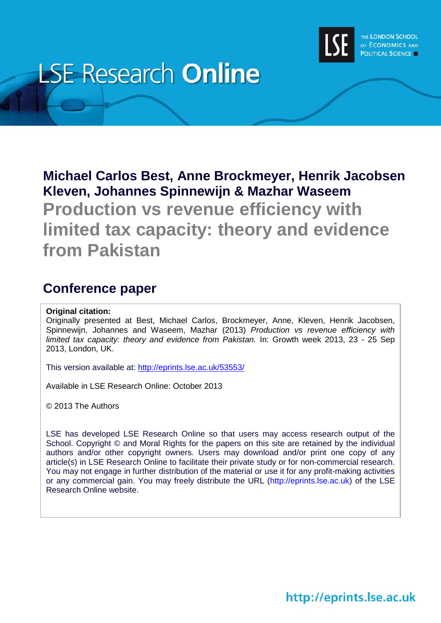

# **LSE Research Online**

# **Michael Carlos Best, Anne Brockmeyer, Henrik Jacobsen Kleven, Johannes Spinnewijn & Mazhar Waseem**

**Production vs revenue efficiency with limited tax capacity: theory and evidence from Pakistan**

# **Conference paper**

### **Original citation:**

Originally presented at Best, Michael Carlos, Brockmeyer, Anne, Kleven, Henrik Jacobsen, Spinnewijn, Johannes and Waseem, Mazhar (2013) *Production vs revenue efficiency with limited tax capacity: theory and evidence from Pakistan.* In: Growth week 2013, 23 - 25 Sep 2013, London, UK.

This version available at:<http://eprints.lse.ac.uk/53553/>

Available in LSE Research Online: October 2013

© 2013 The Authors

LSE has developed LSE Research Online so that users may access research output of the School. Copyright © and Moral Rights for the papers on this site are retained by the individual authors and/or other copyright owners. Users may download and/or print one copy of any article(s) in LSE Research Online to facilitate their private study or for non-commercial research. You may not engage in further distribution of the material or use it for any profit-making activities or any commercial gain. You may freely distribute the URL (http://eprints.lse.ac.uk) of the LSE Research Online website.

http://eprints.lse.ac.uk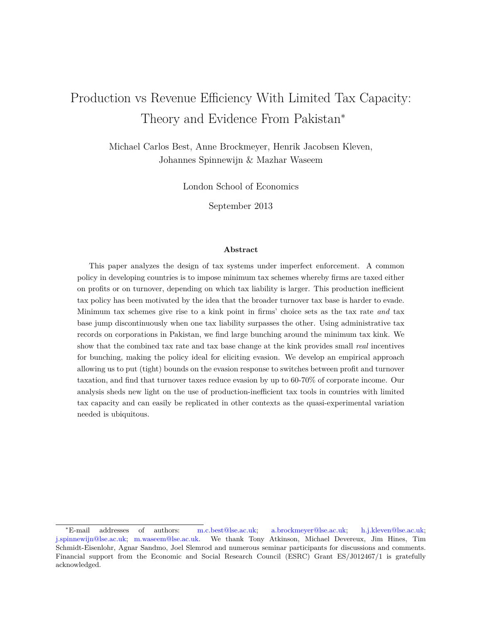# Production vs Revenue Efficiency With Limited Tax Capacity: Theory and Evidence From Pakistan<sup>∗</sup>

Michael Carlos Best, Anne Brockmeyer, Henrik Jacobsen Kleven, Johannes Spinnewijn & Mazhar Waseem

London School of Economics

September 2013

#### **Abstract**

This paper analyzes the design of tax systems under imperfect enforcement. A common policy in developing countries is to impose minimum tax schemes whereby firms are taxed either on profits or on turnover, depending on which tax liability is larger. This production inefficient tax policy has been motivated by the idea that the broader turnover tax base is harder to evade. Minimum tax schemes give rise to a kink point in firms' choice sets as the tax rate *and* tax base jump discontinuously when one tax liability surpasses the other. Using administrative tax records on corporations in Pakistan, we find large bunching around the minimum tax kink. We show that the combined tax rate and tax base change at the kink provides small *real* incentives for bunching, making the policy ideal for eliciting evasion. We develop an empirical approach allowing us to put (tight) bounds on the evasion response to switches between profit and turnover taxation, and find that turnover taxes reduce evasion by up to 60-70% of corporate income. Our analysis sheds new light on the use of production-inefficient tax tools in countries with limited tax capacity and can easily be replicated in other contexts as the quasi-experimental variation needed is ubiquitous.

<sup>∗</sup>E-mail addresses of authors: [m.c.best@lse.ac.uk;](mailto:m.c.best@lse.ac.uk) [a.brockmeyer@lse.ac.uk;](mailto:a.brockmeyer@lse.ac.uk) [h.j.kleven@lse.ac.uk;](mailto:h.j.kleven@lse.ac.uk) [j.spinnewijn@lse.ac.uk;](mailto:j.spinnewijn@lse.ac.uk) [m.waseem@lse.ac.uk.](mailto:m.waseem@lse.ac.uk) We thank Tony Atkinson, Michael Devereux, Jim Hines, Tim Schmidt-Eisenlohr, Agnar Sandmo, Joel Slemrod and numerous seminar participants for discussions and comments. Financial support from the Economic and Social Research Council (ESRC) Grant ES/J012467/1 is gratefully acknowledged.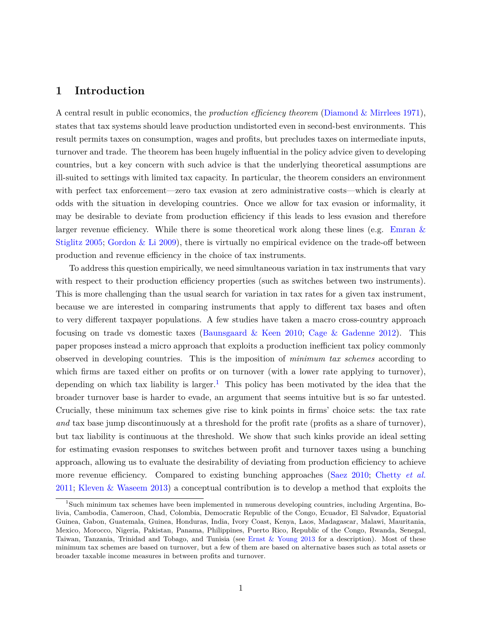# **1 Introduction**

A central result in public economics, the *production efficiency theorem* [\(Diamond & Mirrlees](#page-33-0) [1971\)](#page-33-0), states that tax systems should leave production undistorted even in second-best environments. This result permits taxes on consumption, wages and profits, but precludes taxes on intermediate inputs, turnover and trade. The theorem has been hugely influential in the policy advice given to developing countries, but a key concern with such advice is that the underlying theoretical assumptions are ill-suited to settings with limited tax capacity. In particular, the theorem considers an environment with perfect tax enforcement—zero tax evasion at zero administrative costs—which is clearly at odds with the situation in developing countries. Once we allow for tax evasion or informality, it may be desirable to deviate from production efficiency if this leads to less evasion and therefore larger revenue efficiency. While there is some theoretical work along these lines (e.g. Emran  $\&$ [Stiglitz](#page-33-1) [2005;](#page-33-1) [Gordon & Li](#page-33-2) [2009\)](#page-33-2), there is virtually no empirical evidence on the trade-off between production and revenue efficiency in the choice of tax instruments.

To address this question empirically, we need simultaneous variation in tax instruments that vary with respect to their production efficiency properties (such as switches between two instruments). This is more challenging than the usual search for variation in tax rates for a given tax instrument, because we are interested in comparing instruments that apply to different tax bases and often to very different taxpayer populations. A few studies have taken a macro cross-country approach focusing on trade vs domestic taxes (Baunsgaard  $\&$  Keen [2010;](#page-32-0) Cage  $\&$  Gadenne [2012\)](#page-32-1). This paper proposes instead a micro approach that exploits a production inefficient tax policy commonly observed in developing countries. This is the imposition of *minimum tax schemes* according to which firms are taxed either on profits or on turnover (with a lower rate applying to turnover), depending on which tax liability is larger.<sup>[1](#page-2-0)</sup> This policy has been motivated by the idea that the broader turnover base is harder to evade, an argument that seems intuitive but is so far untested. Crucially, these minimum tax schemes give rise to kink points in firms' choice sets: the tax rate *and* tax base jump discontinuously at a threshold for the profit rate (profits as a share of turnover), but tax liability is continuous at the threshold. We show that such kinks provide an ideal setting for estimating evasion responses to switches between profit and turnover taxes using a bunching approach, allowing us to evaluate the desirability of deviating from production efficiency to achieve more revenue efficiency. Compared to existing bunching approaches [\(Saez](#page-34-0) [2010;](#page-34-0) [Chetty](#page-32-2) *et al.* [2011;](#page-32-2) [Kleven & Waseem](#page-34-1) [2013\)](#page-34-1) a conceptual contribution is to develop a method that exploits the

<span id="page-2-0"></span><sup>1</sup>Such minimum tax schemes have been implemented in numerous developing countries, including Argentina, Bolivia, Cambodia, Cameroon, Chad, Colombia, Democratic Republic of the Congo, Ecuador, El Salvador, Equatorial Guinea, Gabon, Guatemala, Guinea, Honduras, India, Ivory Coast, Kenya, Laos, Madagascar, Malawi, Mauritania, Mexico, Morocco, Nigeria, Pakistan, Panama, Philippines, Puerto Rico, Republic of the Congo, Rwanda, Senegal, Taiwan, Tanzania, Trinidad and Tobago, and Tunisia (see [Ernst & Young](#page-33-3) [2013](#page-33-3) for a description). Most of these minimum tax schemes are based on turnover, but a few of them are based on alternative bases such as total assets or broader taxable income measures in between profits and turnover.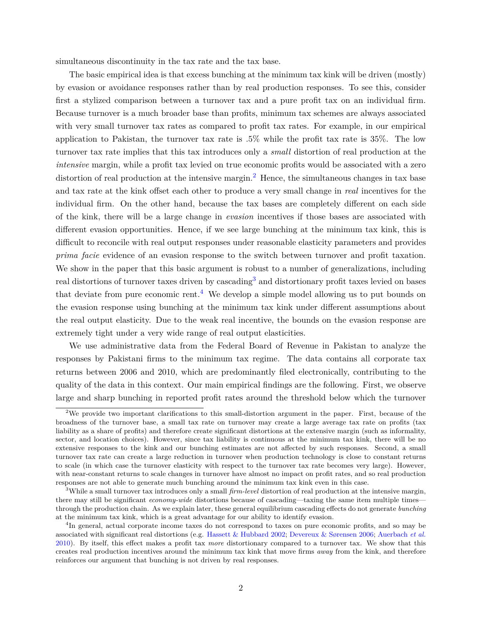simultaneous discontinuity in the tax rate and the tax base.

The basic empirical idea is that excess bunching at the minimum tax kink will be driven (mostly) by evasion or avoidance responses rather than by real production responses. To see this, consider first a stylized comparison between a turnover tax and a pure profit tax on an individual firm. Because turnover is a much broader base than profits, minimum tax schemes are always associated with very small turnover tax rates as compared to profit tax rates. For example, in our empirical application to Pakistan, the turnover tax rate is .5% while the profit tax rate is 35%. The low turnover tax rate implies that this tax introduces only a *small* distortion of real production at the *intensive* margin, while a profit tax levied on true economic profits would be associated with a zero distortion of real production at the intensive margin.<sup>[2](#page-3-0)</sup> Hence, the simultaneous changes in tax base and tax rate at the kink offset each other to produce a very small change in *real* incentives for the individual firm. On the other hand, because the tax bases are completely different on each side of the kink, there will be a large change in *evasion* incentives if those bases are associated with different evasion opportunities. Hence, if we see large bunching at the minimum tax kink, this is difficult to reconcile with real output responses under reasonable elasticity parameters and provides *prima facie* evidence of an evasion response to the switch between turnover and profit taxation. We show in the paper that this basic argument is robust to a number of generalizations, including real distortions of turnover taxes driven by cascading<sup>[3](#page-3-1)</sup> and distortionary profit taxes levied on bases that deviate from pure economic rent.<sup>[4](#page-3-2)</sup> We develop a simple model allowing us to put bounds on the evasion response using bunching at the minimum tax kink under different assumptions about the real output elasticity. Due to the weak real incentive, the bounds on the evasion response are extremely tight under a very wide range of real output elasticities.

We use administrative data from the Federal Board of Revenue in Pakistan to analyze the responses by Pakistani firms to the minimum tax regime. The data contains all corporate tax returns between 2006 and 2010, which are predominantly filed electronically, contributing to the quality of the data in this context. Our main empirical findings are the following. First, we observe large and sharp bunching in reported profit rates around the threshold below which the turnover

<span id="page-3-0"></span><sup>&</sup>lt;sup>2</sup>We provide two important clarifications to this small-distortion argument in the paper. First, because of the broadness of the turnover base, a small tax rate on turnover may create a large average tax rate on profits (tax liability as a share of profits) and therefore create significant distortions at the extensive margin (such as informality, sector, and location choices). However, since tax liability is continuous at the minimum tax kink, there will be no extensive responses to the kink and our bunching estimates are not affected by such responses. Second, a small turnover tax rate can create a large reduction in turnover when production technology is close to constant returns to scale (in which case the turnover elasticity with respect to the turnover tax rate becomes very large). However, with near-constant returns to scale changes in turnover have almost no impact on profit rates, and so real production responses are not able to generate much bunching around the minimum tax kink even in this case.

<span id="page-3-1"></span><sup>3</sup>While a small turnover tax introduces only a small *firm-level* distortion of real production at the intensive margin, there may still be significant *economy-wide* distortions because of cascading—taxing the same item multiple times through the production chain. As we explain later, these general equilibrium cascading effects do not generate *bunching* at the minimum tax kink, which is a great advantage for our ability to identify evasion.

<span id="page-3-2"></span><sup>&</sup>lt;sup>4</sup>In general, actual corporate income taxes do not correspond to taxes on pure economic profits, and so may be associated with significant real distortions (e.g. [Hassett & Hubbard](#page-33-4) [2002;](#page-33-4) [Devereux & Sørensen](#page-33-5) [2006;](#page-33-5) [Auerbach](#page-32-3) *et al.* [2010\)](#page-32-3). By itself, this effect makes a profit tax *more* distortionary compared to a turnover tax. We show that this creates real production incentives around the minimum tax kink that move firms *away* from the kink, and therefore reinforces our argument that bunching is not driven by real responses.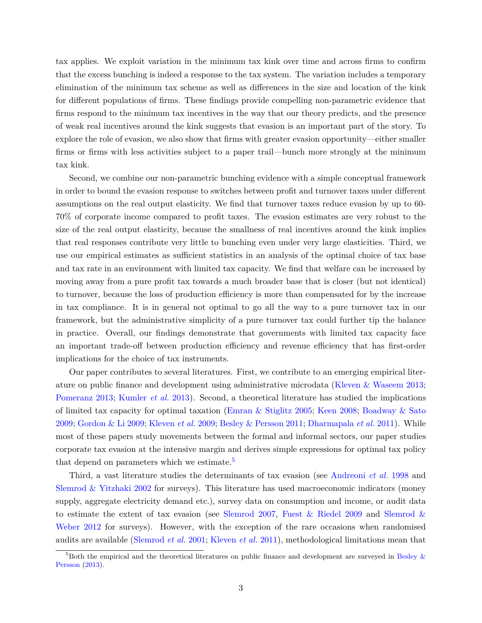tax applies. We exploit variation in the minimum tax kink over time and across firms to confirm that the excess bunching is indeed a response to the tax system. The variation includes a temporary elimination of the minimum tax scheme as well as differences in the size and location of the kink for different populations of firms. These findings provide compelling non-parametric evidence that firms respond to the minimum tax incentives in the way that our theory predicts, and the presence of weak real incentives around the kink suggests that evasion is an important part of the story. To explore the role of evasion, we also show that firms with greater evasion opportunity—either smaller firms or firms with less activities subject to a paper trail—bunch more strongly at the minimum tax kink.

Second, we combine our non-parametric bunching evidence with a simple conceptual framework in order to bound the evasion response to switches between profit and turnover taxes under different assumptions on the real output elasticity. We find that turnover taxes reduce evasion by up to 60- 70% of corporate income compared to profit taxes. The evasion estimates are very robust to the size of the real output elasticity, because the smallness of real incentives around the kink implies that real responses contribute very little to bunching even under very large elasticities. Third, we use our empirical estimates as sufficient statistics in an analysis of the optimal choice of tax base and tax rate in an environment with limited tax capacity. We find that welfare can be increased by moving away from a pure profit tax towards a much broader base that is closer (but not identical) to turnover, because the loss of production efficiency is more than compensated for by the increase in tax compliance. It is in general not optimal to go all the way to a pure turnover tax in our framework, but the administrative simplicity of a pure turnover tax could further tip the balance in practice. Overall, our findings demonstrate that governments with limited tax capacity face an important trade-off between production efficiency and revenue efficiency that has first-order implications for the choice of tax instruments.

Our paper contributes to several literatures. First, we contribute to an emerging empirical literature on public finance and development using administrative microdata [\(Kleven & Waseem](#page-34-1) [2013;](#page-34-1) [Pomeranz](#page-34-2) [2013;](#page-34-2) [Kumler](#page-34-3) *et al.* [2013\)](#page-34-3). Second, a theoretical literature has studied the implications of limited tax capacity for optimal taxation [\(Emran & Stiglitz](#page-33-1) [2005;](#page-33-1) [Keen](#page-34-4) [2008;](#page-34-4) [Boadway & Sato](#page-32-4) [2009;](#page-32-4) [Gordon & Li](#page-33-2) [2009;](#page-33-2) [Kleven](#page-34-5) *et al.* [2009;](#page-34-5) [Besley & Persson](#page-32-5) [2011;](#page-32-5) [Dharmapala](#page-33-6) *et al.* [2011\)](#page-33-6). While most of these papers study movements between the formal and informal sectors, our paper studies corporate tax evasion at the intensive margin and derives simple expressions for optimal tax policy that depend on parameters which we estimate.<sup>[5](#page-4-0)</sup>

Third, a vast literature studies the determinants of tax evasion (see [Andreoni](#page-32-6) *et al.* [1998](#page-32-6) and [Slemrod & Yitzhaki](#page-35-0) [2002](#page-35-0) for surveys). This literature has used macroeconomic indicators (money supply, aggregate electricity demand etc.), survey data on consumption and income, or audit data to estimate the extent of tax evasion (see [Slemrod](#page-34-6) [2007,](#page-34-6) [Fuest & Riedel](#page-33-7) [2009](#page-33-7) and [Slemrod &](#page-35-1) [Weber](#page-35-1) [2012](#page-35-1) for surveys). However, with the exception of the rare occasions when randomised audits are available [\(Slemrod](#page-35-2) *et al.* [2001;](#page-35-2) [Kleven](#page-34-7) *et al.* [2011\)](#page-34-7), methodological limitations mean that

<span id="page-4-0"></span> $5$ Both the empirical and the theoretical literatures on public finance and development are surveyed in Besley  $\&$ [Persson](#page-32-7) [\(2013\)](#page-32-7).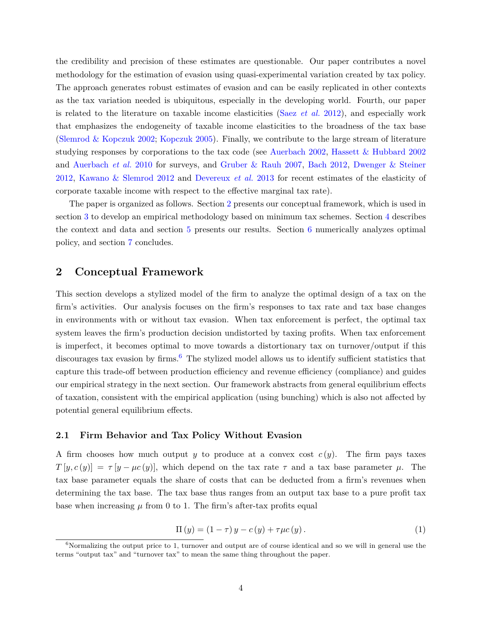the credibility and precision of these estimates are questionable. Our paper contributes a novel methodology for the estimation of evasion using quasi-experimental variation created by tax policy. The approach generates robust estimates of evasion and can be easily replicated in other contexts as the tax variation needed is ubiquitous, especially in the developing world. Fourth, our paper is related to the literature on taxable income elasticities (Saez *[et al.](#page-34-8)* [2012\)](#page-34-8), and especially work that emphasizes the endogeneity of taxable income elasticities to the broadness of the tax base [\(Slemrod & Kopczuk](#page-34-9) [2002;](#page-34-9) [Kopczuk](#page-34-10) [2005\)](#page-34-10). Finally, we contribute to the large stream of literature studying responses by corporations to the tax code (see [Auerbach](#page-32-8) [2002,](#page-32-8) [Hassett & Hubbard](#page-33-4) [2002](#page-33-4) and [Auerbach](#page-32-3) *et al.* [2010](#page-32-3) for surveys, and [Gruber & Rauh](#page-33-8) [2007,](#page-33-8) [Bach](#page-32-9) [2012,](#page-32-9) [Dwenger & Steiner](#page-33-9) [2012,](#page-33-9) [Kawano & Slemrod](#page-33-10) [2012](#page-33-10) and [Devereux](#page-32-10) *et al.* [2013](#page-32-10) for recent estimates of the elasticity of corporate taxable income with respect to the effective marginal tax rate).

The paper is organized as follows. Section [2](#page-5-0) presents our conceptual framework, which is used in section [3](#page-10-0) to develop an empirical methodology based on minimum tax schemes. Section [4](#page-15-0) describes the context and data and section [5](#page-17-0) presents our results. Section [6](#page-22-0) numerically analyzes optimal policy, and section [7](#page-24-0) concludes.

# <span id="page-5-0"></span>**2 Conceptual Framework**

This section develops a stylized model of the firm to analyze the optimal design of a tax on the firm's activities. Our analysis focuses on the firm's responses to tax rate and tax base changes in environments with or without tax evasion. When tax enforcement is perfect, the optimal tax system leaves the firm's production decision undistorted by taxing profits. When tax enforcement is imperfect, it becomes optimal to move towards a distortionary tax on turnover/output if this discourages tax evasion by firms.<sup>[6](#page-5-1)</sup> The stylized model allows us to identify sufficient statistics that capture this trade-off between production efficiency and revenue efficiency (compliance) and guides our empirical strategy in the next section. Our framework abstracts from general equilibrium effects of taxation, consistent with the empirical application (using bunching) which is also not affected by potential general equilibrium effects.

#### **2.1 Firm Behavior and Tax Policy Without Evasion**

A firm chooses how much output *y* to produce at a convex cost *c* (*y*). The firm pays taxes  $T[y, c(y)] = \tau[y - \mu c(y)]$ , which depend on the tax rate  $\tau$  and a tax base parameter  $\mu$ . The tax base parameter equals the share of costs that can be deducted from a firm's revenues when determining the tax base. The tax base thus ranges from an output tax base to a pure profit tax base when increasing  $\mu$  from 0 to 1. The firm's after-tax profits equal

<span id="page-5-2"></span>
$$
\Pi(y) = (1 - \tau) y - c(y) + \tau \mu c(y). \tag{1}
$$

<span id="page-5-1"></span> $6$ Normalizing the output price to 1, turnover and output are of course identical and so we will in general use the terms "output tax" and "turnover tax" to mean the same thing throughout the paper.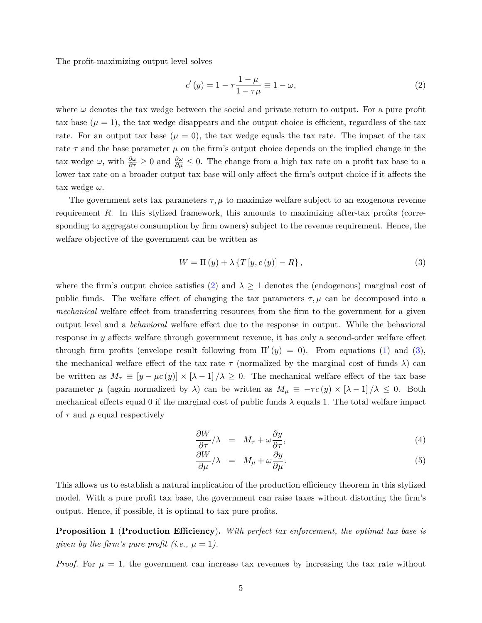The profit-maximizing output level solves

<span id="page-6-0"></span>
$$
c'(y) = 1 - \tau \frac{1 - \mu}{1 - \tau \mu} \equiv 1 - \omega,
$$
\n(2)

where  $\omega$  denotes the tax wedge between the social and private return to output. For a pure profit tax base  $(\mu = 1)$ , the tax wedge disappears and the output choice is efficient, regardless of the tax rate. For an output tax base  $(\mu = 0)$ , the tax wedge equals the tax rate. The impact of the tax rate  $\tau$  and the base parameter  $\mu$  on the firm's output choice depends on the implied change in the tax wedge  $\omega$ , with  $\frac{\partial \omega}{\partial \tau} \geq 0$  and  $\frac{\partial \omega}{\partial \mu} \leq 0$ . The change from a high tax rate on a profit tax base to a lower tax rate on a broader output tax base will only affect the firm's output choice if it affects the tax wedge *ω*.

The government sets tax parameters  $\tau$ ,  $\mu$  to maximize welfare subject to an exogenous revenue requirement *R*. In this stylized framework, this amounts to maximizing after-tax profits (corresponding to aggregate consumption by firm owners) subject to the revenue requirement. Hence, the welfare objective of the government can be written as

<span id="page-6-1"></span>
$$
W = \Pi(y) + \lambda \left\{ T\left[y, c\left(y\right) \right] - R \right\},\tag{3}
$$

where the firm's output choice satisfies [\(2\)](#page-6-0) and  $\lambda \geq 1$  denotes the (endogenous) marginal cost of public funds. The welfare effect of changing the tax parameters  $\tau, \mu$  can be decomposed into a *mechanical* welfare effect from transferring resources from the firm to the government for a given output level and a *behavioral* welfare effect due to the response in output. While the behavioral response in *y* affects welfare through government revenue, it has only a second-order welfare effect through firm profits (envelope result following from  $\Pi'(y) = 0$ ). From equations [\(1\)](#page-5-2) and [\(3\)](#page-6-1), the mechanical welfare effect of the tax rate  $\tau$  (normalized by the marginal cost of funds  $\lambda$ ) can be written as  $M_{\tau} \equiv [y - \mu c(y)] \times [\lambda - 1]/\lambda \ge 0$ . The mechanical welfare effect of the tax base parameter  $\mu$  (again normalized by  $\lambda$ ) can be written as  $M_{\mu} \equiv -\tau c(y) \times [\lambda - 1]/\lambda \leq 0$ . Both mechanical effects equal 0 if the marginal cost of public funds  $\lambda$  equals 1. The total welfare impact of  $\tau$  and  $\mu$  equal respectively

$$
\frac{\partial W}{\partial \tau}/\lambda = M_{\tau} + \omega \frac{\partial y}{\partial \tau}, \tag{4}
$$

$$
\frac{\partial W}{\partial \mu}/\lambda = M_{\mu} + \omega \frac{\partial y}{\partial \mu}.
$$
\n(5)

This allows us to establish a natural implication of the production efficiency theorem in this stylized model. With a pure profit tax base, the government can raise taxes without distorting the firm's output. Hence, if possible, it is optimal to tax pure profits.

<span id="page-6-2"></span>**Proposition 1** (**Production Efficiency**)**.** *With perfect tax enforcement, the optimal tax base is given by the firm's pure profit (i.e.,*  $\mu = 1$ ).

*Proof.* For  $\mu = 1$ , the government can increase tax revenues by increasing the tax rate without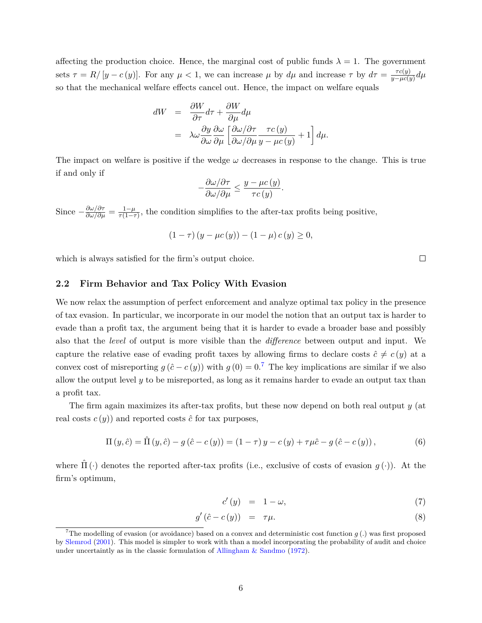affecting the production choice. Hence, the marginal cost of public funds  $\lambda = 1$ . The government sets  $\tau = R/[y - c(y)]$ . For any  $\mu < 1$ , we can increase  $\mu$  by  $d\mu$  and increase  $\tau$  by  $d\tau = \frac{\tau c(y)}{n - \mu c(s)}$  $\frac{\tau c(y)}{y-\mu c(y)}$ *d* $\mu$ so that the mechanical welfare effects cancel out. Hence, the impact on welfare equals

$$
dW = \frac{\partial W}{\partial \tau} d\tau + \frac{\partial W}{\partial \mu} d\mu
$$
  
=  $\lambda \omega \frac{\partial y}{\partial \omega} \frac{\partial \omega}{\partial \mu} \left[ \frac{\partial \omega}{\partial \omega / \partial \mu} \frac{\tau c(y)}{y - \mu c(y)} + 1 \right] d\mu.$ 

The impact on welfare is positive if the wedge  $\omega$  decreases in response to the change. This is true if and only if

$$
-\frac{\partial \omega/\partial \tau}{\partial \omega/\partial \mu} \le \frac{y - \mu c(y)}{\tau c(y)}.
$$

Since  $-\frac{\partial \omega/\partial \tau}{\partial \omega/\partial \mu} = \frac{1-\mu}{\tau(1-\tau)}$  $\frac{1-\mu}{\tau(1-\tau)}$ , the condition simplifies to the after-tax profits being positive,

$$
(1 - \tau) (y - \mu c(y)) - (1 - \mu) c(y) \ge 0,
$$

which is always satisfied for the firm's output choice.

#### <span id="page-7-1"></span>**2.2 Firm Behavior and Tax Policy With Evasion**

We now relax the assumption of perfect enforcement and analyze optimal tax policy in the presence of tax evasion. In particular, we incorporate in our model the notion that an output tax is harder to evade than a profit tax, the argument being that it is harder to evade a broader base and possibly also that the *level* of output is more visible than the *difference* between output and input. We capture the relative ease of evading profit taxes by allowing firms to declare costs  $\hat{c} \neq c(y)$  at a convex cost of misreporting  $g(\hat{c} - c(y))$  with  $g(0) = 0.7$  $g(0) = 0.7$  The key implications are similar if we also allow the output level *y* to be misreported, as long as it remains harder to evade an output tax than a profit tax.

The firm again maximizes its after-tax profits, but these now depend on both real output *y* (at real costs  $c(y)$  and reported costs  $\hat{c}$  for tax purposes,

$$
\Pi(y,\hat{c}) = \hat{\Pi}(y,\hat{c}) - g(\hat{c} - c(y)) = (1 - \tau)y - c(y) + \tau\mu\hat{c} - g(\hat{c} - c(y)),
$$
\n(6)

where  $\Pi(\cdot)$  denotes the reported after-tax profits (i.e., exclusive of costs of evasion  $g(\cdot)$ ). At the firm's optimum,

$$
c'(y) = 1 - \omega, \tag{7}
$$

$$
g'(\hat{c} - c(y)) = \tau \mu. \tag{8}
$$

 $\Box$ 

<span id="page-7-0"></span><sup>&</sup>lt;sup>7</sup>The modelling of evasion (or avoidance) based on a convex and deterministic cost function  $q(.)$  was first proposed by [Slemrod](#page-34-11) [\(2001\)](#page-34-11). This model is simpler to work with than a model incorporating the probability of audit and choice under uncertaintly as in the classic formulation of Allingham  $\&$  Sandmo [\(1972\)](#page-32-11).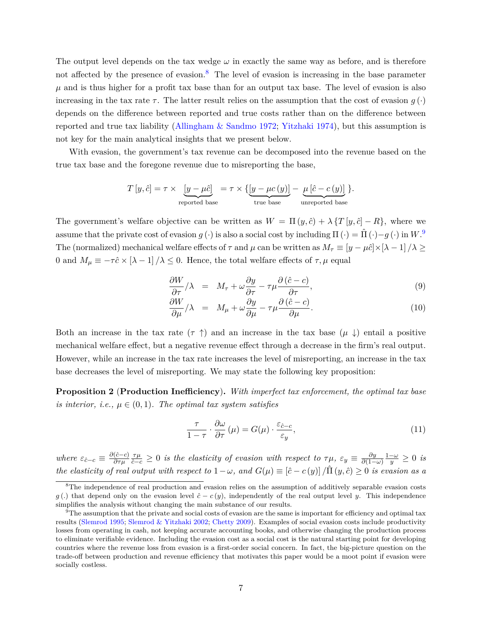The output level depends on the tax wedge  $\omega$  in exactly the same way as before, and is therefore not affected by the presence of evasion.<sup>[8](#page-8-0)</sup> The level of evasion is increasing in the base parameter  $\mu$  and is thus higher for a profit tax base than for an output tax base. The level of evasion is also increasing in the tax rate  $\tau$ . The latter result relies on the assumption that the cost of evasion  $g(\cdot)$ depends on the difference between reported and true costs rather than on the difference between reported and true tax liability [\(Allingham & Sandmo](#page-32-11) [1972;](#page-32-11) [Yitzhaki](#page-35-3) [1974\)](#page-35-3), but this assumption is not key for the main analytical insights that we present below.

With evasion, the government's tax revenue can be decomposed into the revenue based on the true tax base and the foregone revenue due to misreporting the base,

$$
T[y, \hat{c}] = \tau \times \underbrace{[y - \mu \hat{c}]}_{\text{reported base}} = \tau \times \{ \underbrace{[y - \mu c(y)]}_{\text{true base}} - \underbrace{\mu [\hat{c} - c(y)]}_{\text{unreported base}} \}.
$$

The government's welfare objective can be written as  $W = \Pi(y, \hat{c}) + \lambda \{T[y, \hat{c}] - R\}$ , where we assume that the private cost of evasion  $g(\cdot)$  is also a social cost by including  $\Pi(\cdot) = \hat{\Pi}(\cdot) - g(\cdot)$  in  $W^{\{9\}}$  $W^{\{9\}}$  $W^{\{9\}}$ . The (normalized) mechanical welfare effects of  $\tau$  and  $\mu$  can be written as  $M_{\tau} \equiv [y - \mu \hat{c}] \times [\lambda - 1] / \lambda \ge$ 0 and  $M_{\mu} \equiv -\tau \hat{c} \times [\lambda - 1] / \lambda \le 0$ . Hence, the total welfare effects of  $\tau, \mu$  equal

$$
\frac{\partial W}{\partial \tau}/\lambda = M_{\tau} + \omega \frac{\partial y}{\partial \tau} - \tau \mu \frac{\partial (\hat{c} - c)}{\partial \tau}, \qquad (9)
$$

$$
\frac{\partial W}{\partial \mu}/\lambda = M_{\mu} + \omega \frac{\partial y}{\partial \mu} - \tau \mu \frac{\partial (\hat{c} - c)}{\partial \mu}.
$$
 (10)

Both an increase in the tax rate  $(\tau \uparrow)$  and an increase in the tax base  $(\mu \downarrow)$  entail a positive mechanical welfare effect, but a negative revenue effect through a decrease in the firm's real output. However, while an increase in the tax rate increases the level of misreporting, an increase in the tax base decreases the level of misreporting. We may state the following key proposition:

<span id="page-8-3"></span>**Proposition 2** (**Production Inefficiency**)**.** *With imperfect tax enforcement, the optimal tax base is interior, i.e.,*  $\mu \in (0,1)$ *. The optimal tax system satisfies* 

<span id="page-8-2"></span>
$$
\frac{\tau}{1-\tau} \cdot \frac{\partial \omega}{\partial \tau}(\mu) = G(\mu) \cdot \frac{\varepsilon_{\hat{c}-c}}{\varepsilon_y},\tag{11}
$$

*where*  $\varepsilon_{\hat{c}-c} \equiv \frac{\partial(\hat{c}-c)}{\partial \tau_{\mu}}$ *∂τµ*  $\frac{\tau\mu}{\hat{c}-c} \geq 0$  *is the elasticity of evasion with respect to*  $\tau\mu$ *,*  $\varepsilon_y \equiv \frac{\partial y}{\partial(1-\mu)}$ *∂*(1−*ω*)  $\frac{1-\omega}{y}$  ≥ 0 *is the elasticity of real output with respect to*  $1-\omega$ , and  $G(\mu) \equiv [\hat{c} - c(y)]/\hat{\Pi}(y, \hat{c}) \geq 0$  *is evasion as a* 

<span id="page-8-0"></span><sup>&</sup>lt;sup>8</sup>The independence of real production and evasion relies on the assumption of additively separable evasion costs *g* (*.*) that depend only on the evasion level  $\hat{c} - c(y)$ , independently of the real output level *y*. This independence simplifies the analysis without changing the main substance of our results.

<span id="page-8-1"></span> $9$ The assumption that the private and social costs of evasion are the same is important for efficiency and optimal tax results [\(Slemrod](#page-34-12) [1995;](#page-34-12) [Slemrod & Yitzhaki](#page-35-0) [2002;](#page-35-0) [Chetty](#page-32-12) [2009\)](#page-32-12). Examples of social evasion costs include productivity losses from operating in cash, not keeping accurate accounting books, and otherwise changing the production process to eliminate verifiable evidence. Including the evasion cost as a social cost is the natural starting point for developing countries where the revenue loss from evasion is a first-order social concern. In fact, the big-picture question on the trade-off between production and revenue efficiency that motivates this paper would be a moot point if evasion were socially costless.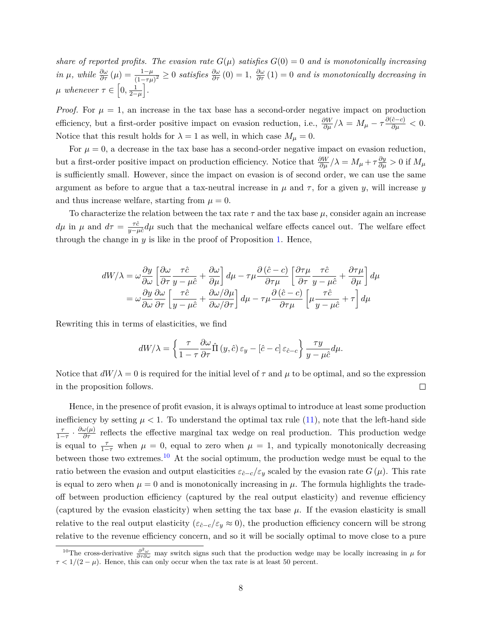*share of reported profits. The evasion rate*  $G(\mu)$  *satisfies*  $G(0) = 0$  *and is monotonically increasing in*  $\mu$ , while  $\frac{\partial \omega}{\partial \tau}(\mu) = \frac{1-\mu}{(1-\tau\mu)^2} \geq 0$  satisfies  $\frac{\partial \omega}{\partial \tau}(0) = 1$ ,  $\frac{\partial \omega}{\partial \tau}(1) = 0$  and is monotonically decreasing in  $\mu$  whenever  $\tau \in \left[0, \frac{1}{2-\mu}\right]$ .

*Proof.* For  $\mu = 1$ , an increase in the tax base has a second-order negative impact on production efficiency, but a first-order positive impact on evasion reduction, i.e.,  $\frac{\partial W}{\partial \mu}/\lambda = M_{\mu} - \tau \frac{\partial (\hat{c}-c)}{\partial \mu} < 0$ . Notice that this result holds for  $\lambda = 1$  as well, in which case  $M_{\mu} = 0$ .

For  $\mu = 0$ , a decrease in the tax base has a second-order negative impact on evasion reduction, but a first-order positive impact on production efficiency. Notice that  $\frac{\partial W}{\partial \mu}/\lambda = M_\mu + \tau \frac{\partial y}{\partial \mu} > 0$  if  $M_\mu$ is sufficiently small. However, since the impact on evasion is of second order, we can use the same argument as before to argue that a tax-neutral increase in  $\mu$  and  $\tau$ , for a given  $\gamma$ , will increase  $\gamma$ and thus increase welfare, starting from  $\mu = 0$ .

To characterize the relation between the tax rate  $\tau$  and the tax base  $\mu$ , consider again an increase  $d\mu$  in  $\mu$  and  $d\tau = \frac{\tau \hat{c}}{y - \mu \hat{c}} d\mu$  such that the mechanical welfare effects cancel out. The welfare effect through the change in *y* is like in the proof of Proposition [1.](#page-6-2) Hence,

$$
dW/\lambda = \omega \frac{\partial y}{\partial \omega} \left[ \frac{\partial \omega}{\partial \tau} \frac{\tau \hat{c}}{y - \mu \hat{c}} + \frac{\partial \omega}{\partial \mu} \right] d\mu - \tau \mu \frac{\partial (\hat{c} - c)}{\partial \tau \mu} \left[ \frac{\partial \tau \mu}{\partial \tau} \frac{\tau \hat{c}}{y - \mu \hat{c}} + \frac{\partial \tau \mu}{\partial \mu} \right] d\mu
$$
  
= 
$$
\omega \frac{\partial y}{\partial \omega} \frac{\partial \omega}{\partial \tau} \left[ \frac{\tau \hat{c}}{y - \mu \hat{c}} + \frac{\partial \omega}{\partial \omega / \partial \tau} \right] d\mu - \tau \mu \frac{\partial (\hat{c} - c)}{\partial \tau \mu} \left[ \mu \frac{\tau \hat{c}}{y - \mu \hat{c}} + \tau \right] d\mu
$$

Rewriting this in terms of elasticities, we find

$$
dW/\lambda = \left\{ \frac{\tau}{1-\tau} \frac{\partial \omega}{\partial \tau} \hat{\Pi} \left( y, \hat{c} \right) \varepsilon_y - \left[ \hat{c} - c \right] \varepsilon_{\hat{c}-c} \right\} \frac{\tau y}{y - \mu \hat{c}} d\mu.
$$

Notice that  $dW/\lambda = 0$  is required for the initial level of  $\tau$  and  $\mu$  to be optimal, and so the expression in the proposition follows.  $\Box$ 

Hence, in the presence of profit evasion, it is always optimal to introduce at least some production inefficiency by setting  $\mu < 1$ . To understand the optimal tax rule [\(11\)](#page-8-2), note that the left-hand side  $\frac{\tau}{1-\tau}$  ·  $\frac{\partial \omega(\mu)}{\partial \tau}$  reflects the effective marginal tax wedge on real production. This production wedge is equal to  $\frac{\tau}{1-\tau}$  when  $\mu = 0$ , equal to zero when  $\mu = 1$ , and typically monotonically decreasing between those two extremes.<sup>[10](#page-9-0)</sup> At the social optimum, the production wedge must be equal to the ratio between the evasion and output elasticities  $\varepsilon_{\hat{c}-c}/\varepsilon_y$  scaled by the evasion rate  $G(\mu)$ . This rate is equal to zero when  $\mu = 0$  and is monotonically increasing in  $\mu$ . The formula highlights the tradeoff between production efficiency (captured by the real output elasticity) and revenue efficiency (captured by the evasion elasticity) when setting the tax base  $\mu$ . If the evasion elasticity is small relative to the real output elasticity ( $\varepsilon_{\hat{c}-c}/\varepsilon_y \approx 0$ ), the production efficiency concern will be strong relative to the revenue efficiency concern, and so it will be socially optimal to move close to a pure

<span id="page-9-0"></span><sup>&</sup>lt;sup>10</sup>The cross-derivative  $\frac{\partial^2 \omega}{\partial \tau \partial \omega}$  may switch signs such that the production wedge may be locally increasing in *µ* for  $\tau < 1/(2 - \mu)$ . Hence, this can only occur when the tax rate is at least 50 percent.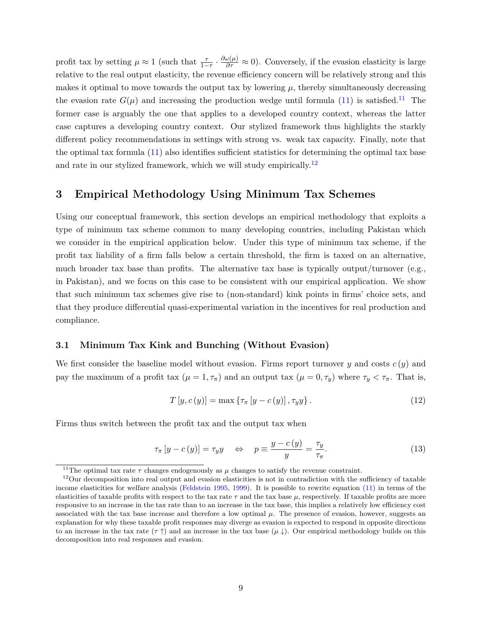profit tax by setting  $\mu \approx 1$  (such that  $\frac{\tau}{1-\tau} \cdot \frac{\partial \omega(\mu)}{\partial \tau} \approx 0$ ). Conversely, if the evasion elasticity is large relative to the real output elasticity, the revenue efficiency concern will be relatively strong and this makes it optimal to move towards the output tax by lowering  $\mu$ , thereby simultaneously decreasing the evasion rate  $G(\mu)$  and increasing the production wedge until formula [\(11\)](#page-8-2) is satisfied.<sup>[11](#page-10-1)</sup> The former case is arguably the one that applies to a developed country context, whereas the latter case captures a developing country context. Our stylized framework thus highlights the starkly different policy recommendations in settings with strong vs. weak tax capacity. Finally, note that the optimal tax formula [\(11\)](#page-8-2) also identifies sufficient statistics for determining the optimal tax base and rate in our stylized framework, which we will study empirically.<sup>[12](#page-10-2)</sup>

# <span id="page-10-0"></span>**3 Empirical Methodology Using Minimum Tax Schemes**

Using our conceptual framework, this section develops an empirical methodology that exploits a type of minimum tax scheme common to many developing countries, including Pakistan which we consider in the empirical application below. Under this type of minimum tax scheme, if the profit tax liability of a firm falls below a certain threshold, the firm is taxed on an alternative, much broader tax base than profits. The alternative tax base is typically output/turnover  $(e.g.,)$ in Pakistan), and we focus on this case to be consistent with our empirical application. We show that such minimum tax schemes give rise to (non-standard) kink points in firms' choice sets, and that they produce differential quasi-experimental variation in the incentives for real production and compliance.

#### **3.1 Minimum Tax Kink and Bunching (Without Evasion)**

We first consider the baseline model without evasion. Firms report turnover *y* and costs *c* (*y*) and pay the maximum of a profit tax  $(\mu = 1, \tau_\pi)$  and an output tax  $(\mu = 0, \tau_y)$  where  $\tau_y < \tau_\pi$ . That is,

<span id="page-10-3"></span>
$$
T[y, c(y)] = \max \{ \tau_{\pi} [y - c(y)], \tau_{y} y \}.
$$
\n(12)

Firms thus switch between the profit tax and the output tax when

$$
\tau_{\pi}[y - c(y)] = \tau_y y \quad \Leftrightarrow \quad p \equiv \frac{y - c(y)}{y} = \frac{\tau_y}{\tau_{\pi}}.
$$
\n(13)

<span id="page-10-2"></span><span id="page-10-1"></span><sup>&</sup>lt;sup>11</sup>The optimal tax rate  $\tau$  changes endogenously as  $\mu$  changes to satisfy the revenue constraint.

 $12$ Our decomposition into real output and evasion elasticities is not in contradiction with the sufficiency of taxable income elasticities for welfare analysis [\(Feldstein](#page-33-11) [1995,](#page-33-11) [1999\)](#page-33-12). It is possible to rewrite equation [\(11\)](#page-8-2) in terms of the elasticities of taxable profits with respect to the tax rate *τ* and the tax base *µ*, respectively. If taxable profits are more responsive to an increase in the tax rate than to an increase in the tax base, this implies a relatively low efficiency cost associated with the tax base increase and therefore a low optimal  $\mu$ . The presence of evasion, however, suggests an explanation for why these taxable profit responses may diverge as evasion is expected to respond in opposite directions to an increase in the tax rate  $(\tau \uparrow)$  and an increase in the tax base  $(\mu \downarrow)$ . Our empirical methodology builds on this decomposition into real responses and evasion.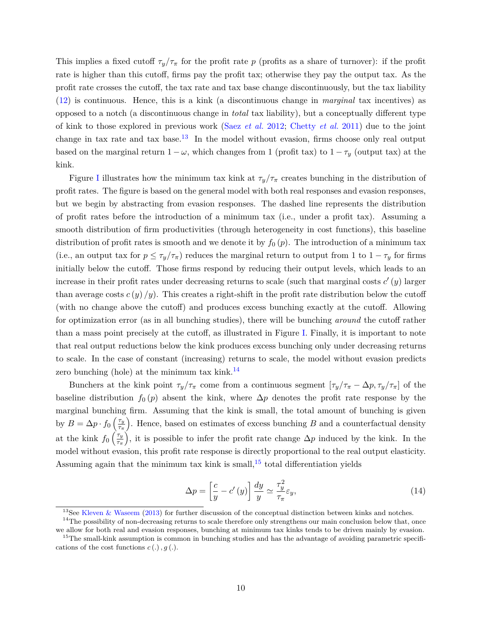This implies a fixed cutoff  $\tau_y/\tau_\pi$  for the profit rate *p* (profits as a share of turnover): if the profit rate is higher than this cutoff, firms pay the profit tax; otherwise they pay the output tax. As the profit rate crosses the cutoff, the tax rate and tax base change discontinuously, but the tax liability [\(12\)](#page-10-3) is continuous. Hence, this is a kink (a discontinuous change in *marginal* tax incentives) as opposed to a notch (a discontinuous change in *total* tax liability), but a conceptually different type of kink to those explored in previous work (Saez *[et al.](#page-34-8)* [2012;](#page-34-8) [Chetty](#page-32-2) *et al.* [2011\)](#page-32-2) due to the joint change in tax rate and tax base.[13](#page-11-0) In the model without evasion, firms choose only real output based on the marginal return  $1 - \omega$ , which changes from 1 (profit tax) to  $1 - \tau_y$  (output tax) at the kink.

Figure [I](#page-27-0) illustrates how the minimum tax kink at  $\tau_y/\tau_\pi$  creates bunching in the distribution of profit rates. The figure is based on the general model with both real responses and evasion responses, but we begin by abstracting from evasion responses. The dashed line represents the distribution of profit rates before the introduction of a minimum tax (i.e., under a profit tax). Assuming a smooth distribution of firm productivities (through heterogeneity in cost functions), this baseline distribution of profit rates is smooth and we denote it by  $f_0(p)$ . The introduction of a minimum tax (i.e., an output tax for  $p \leq \tau_y/\tau_\pi$ ) reduces the marginal return to output from 1 to  $1 - \tau_y$  for firms initially below the cutoff. Those firms respond by reducing their output levels, which leads to an increase in their profit rates under decreasing returns to scale (such that marginal costs  $c'(y)$  larger than average costs  $c(y)/y$ ). This creates a right-shift in the profit rate distribution below the cutoff (with no change above the cutoff) and produces excess bunching exactly at the cutoff. Allowing for optimization error (as in all bunching studies), there will be bunching *around* the cutoff rather than a mass point precisely at the cutoff, as illustrated in Figure [I.](#page-27-0) Finally, it is important to note that real output reductions below the kink produces excess bunching only under decreasing returns to scale. In the case of constant (increasing) returns to scale, the model without evasion predicts zero bunching (hole) at the minimum tax kink.<sup>[14](#page-11-1)</sup>

Bunchers at the kink point  $\tau_y/\tau_\pi$  come from a continuous segment  $[\tau_y/\tau_\pi - \Delta p, \tau_y/\tau_\pi]$  of the baseline distribution  $f_0(p)$  absent the kink, where  $\Delta p$  denotes the profit rate response by the marginal bunching firm. Assuming that the kink is small, the total amount of bunching is given by  $B = \Delta p \cdot f_0 \left( \frac{\tau_y}{\tau_x} \right)$ *τπ* . Hence, based on estimates of excess bunching *B* and a counterfactual density at the kink  $f_0 \left( \frac{\tau_y}{\tau_x} \right)$ *τπ* ), it is possible to infer the profit rate change  $\Delta p$  induced by the kink. In the model without evasion, this profit rate response is directly proportional to the real output elasticity. Assuming again that the minimum tax kink is small,  $15$  total differentiation yields

<span id="page-11-3"></span>
$$
\Delta p = \left[\frac{c}{y} - c'(y)\right] \frac{dy}{y} \simeq \frac{\tau_y^2}{\tau_\pi} \varepsilon_y,\tag{14}
$$

<span id="page-11-1"></span><span id="page-11-0"></span><sup>&</sup>lt;sup>13</sup>See [Kleven & Waseem](#page-34-1) [\(2013\)](#page-34-1) for further discussion of the conceptual distinction between kinks and notches.

 $14$ The possibility of non-decreasing returns to scale therefore only strengthens our main conclusion below that, once we allow for both real and evasion responses, bunching at minimum tax kinks tends to be driven mainly by evasion.

<span id="page-11-2"></span><sup>&</sup>lt;sup>15</sup>The small-kink assumption is common in bunching studies and has the advantage of avoiding parametric specifications of the cost functions  $c(.)$ ,  $g(.)$ .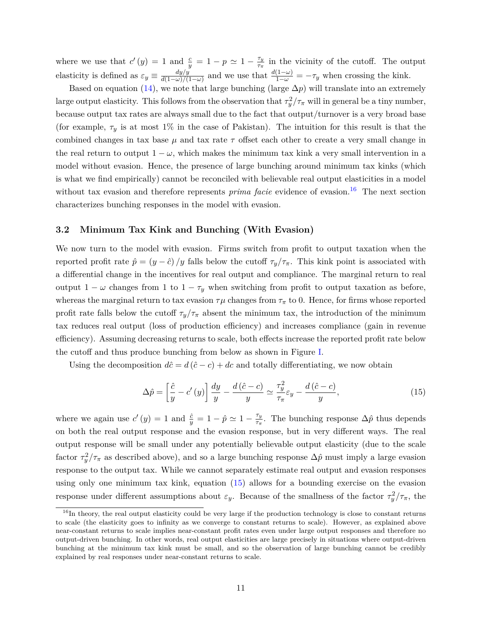where we use that  $c'(y) = 1$  and  $\frac{c}{y} = 1 - p \simeq 1 - \frac{\tau_y}{\tau_\pi}$ *τπ* in the vicinity of the cutoff. The output elasticity is defined as  $\varepsilon_y \equiv \frac{dy/y}{d(1-\omega)/\ell}$  $\frac{dy/y}{d(1-\omega)/(1-\omega)}$  and we use that  $\frac{d(1-\omega)}{1-\omega} = -\tau_y$  when crossing the kink.

Based on equation [\(14\)](#page-11-3), we note that large bunching (large  $\Delta p$ ) will translate into an extremely large output elasticity. This follows from the observation that  $\tau_y^2/\tau_\pi$  will in general be a tiny number, because output tax rates are always small due to the fact that output/turnover is a very broad base (for example,  $\tau_y$  is at most 1% in the case of Pakistan). The intuition for this result is that the combined changes in tax base  $\mu$  and tax rate  $\tau$  offset each other to create a very small change in the real return to output  $1 - \omega$ , which makes the minimum tax kink a very small intervention in a model without evasion. Hence, the presence of large bunching around minimum tax kinks (which is what we find empirically) cannot be reconciled with believable real output elasticities in a model without tax evasion and therefore represents *prima facie* evidence of evasion.<sup>[16](#page-12-0)</sup> The next section characterizes bunching responses in the model with evasion.

#### **3.2 Minimum Tax Kink and Bunching (With Evasion)**

We now turn to the model with evasion. Firms switch from profit to output taxation when the reported profit rate  $\hat{p} = (y - \hat{c})/y$  falls below the cutoff  $\tau_y/\tau_\pi$ . This kink point is associated with a differential change in the incentives for real output and compliance. The marginal return to real output  $1 - \omega$  changes from 1 to  $1 - \tau_y$  when switching from profit to output taxation as before, whereas the marginal return to tax evasion  $\tau\mu$  changes from  $\tau_{\pi}$  to 0. Hence, for firms whose reported profit rate falls below the cutoff  $\tau_y/\tau_\pi$  absent the minimum tax, the introduction of the minimum tax reduces real output (loss of production efficiency) and increases compliance (gain in revenue efficiency). Assuming decreasing returns to scale, both effects increase the reported profit rate below the cutoff and thus produce bunching from below as shown in Figure [I.](#page-27-0)

Using the decomposition  $d\hat{c} = d(\hat{c} - c) + dc$  and totally differentiating, we now obtain

<span id="page-12-1"></span>
$$
\Delta \hat{p} = \left[\frac{\hat{c}}{y} - c'(y)\right] \frac{dy}{y} - \frac{d\left(\hat{c} - c\right)}{y} \simeq \frac{\tau_y^2}{\tau_\pi} \varepsilon_y - \frac{d\left(\hat{c} - c\right)}{y},\tag{15}
$$

where we again use  $c'(y) = 1$  and  $\frac{\hat{c}}{y} = 1 - \hat{p} \simeq 1 - \frac{\tau_y}{\tau_x}$  $\frac{\tau_y}{\tau_\pi}$ . The bunching response  $\Delta \hat{p}$  thus depends on both the real output response and the evasion response, but in very different ways. The real output response will be small under any potentially believable output elasticity (due to the scale factor  $\tau_y^2/\tau_\pi$  as described above), and so a large bunching response  $\Delta\hat{p}$  must imply a large evasion response to the output tax. While we cannot separately estimate real output and evasion responses using only one minimum tax kink, equation [\(15\)](#page-12-1) allows for a bounding exercise on the evasion response under different assumptions about  $\varepsilon_y$ . Because of the smallness of the factor  $\tau_y^2/\tau_\pi$ , the

<span id="page-12-0"></span><sup>&</sup>lt;sup>16</sup>In theory, the real output elasticity could be very large if the production technology is close to constant returns to scale (the elasticity goes to infinity as we converge to constant returns to scale). However, as explained above near-constant returns to scale implies near-constant profit rates even under large output responses and therefore no output-driven bunching. In other words, real output elasticities are large precisely in situations where output-driven bunching at the minimum tax kink must be small, and so the observation of large bunching cannot be credibly explained by real responses under near-constant returns to scale.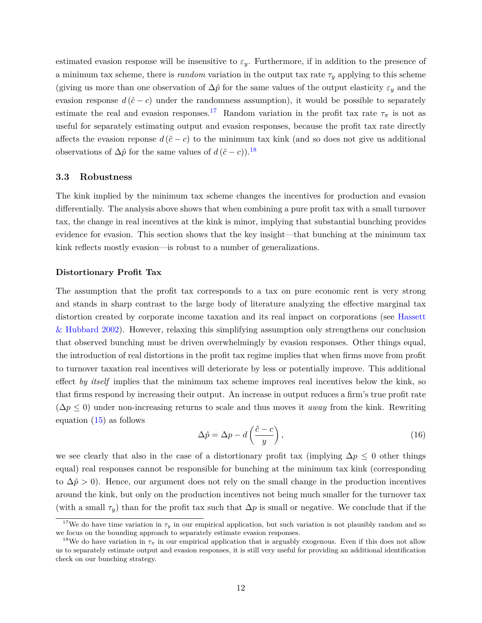<span id="page-13-2"></span>estimated evasion response will be insensitive to  $\varepsilon_y$ . Furthermore, if in addition to the presence of a minimum tax scheme, there is  $random$  variation in the output tax rate  $\tau_y$  applying to this scheme (giving us more than one observation of  $\Delta \hat{p}$  for the same values of the output elasticity  $\varepsilon_y$  and the evasion response  $d(\hat{c} - c)$  under the randomness assumption), it would be possible to separately estimate the real and evasion responses.<sup>[17](#page-13-0)</sup> Random variation in the profit tax rate  $\tau_{\pi}$  is not as useful for separately estimating output and evasion responses, because the profit tax rate directly affects the evasion reponse  $d(\hat{c}-c)$  to the minimum tax kink (and so does not give us additional observations of  $\Delta \hat{p}$  for the same values of  $d(\hat{c} - c)$ .<sup>[18](#page-13-1)</sup>

#### **3.3 Robustness**

The kink implied by the minimum tax scheme changes the incentives for production and evasion differentially. The analysis above shows that when combining a pure profit tax with a small turnover tax, the change in real incentives at the kink is minor, implying that substantial bunching provides evidence for evasion. This section shows that the key insight—that bunching at the minimum tax kink reflects mostly evasion—is robust to a number of generalizations.

#### **Distortionary Profit Tax**

The assumption that the profit tax corresponds to a tax on pure economic rent is very strong and stands in sharp contrast to the large body of literature analyzing the effective marginal tax distortion created by corporate income taxation and its real impact on corporations (see [Hassett](#page-33-4) [& Hubbard](#page-33-4) [2002\)](#page-33-4). However, relaxing this simplifying assumption only strengthens our conclusion that observed bunching must be driven overwhelmingly by evasion responses. Other things equal, the introduction of real distortions in the profit tax regime implies that when firms move from profit to turnover taxation real incentives will deteriorate by less or potentially improve. This additional effect *by itself* implies that the minimum tax scheme improves real incentives below the kink, so that firms respond by increasing their output. An increase in output reduces a firm's true profit rate (∆*p* ≤ 0) under non-increasing returns to scale and thus moves it *away* from the kink. Rewriting equation [\(15\)](#page-12-1) as follows

$$
\Delta \hat{p} = \Delta p - d \left( \frac{\hat{c} - c}{y} \right),\tag{16}
$$

we see clearly that also in the case of a distortionary profit tax (implying  $\Delta p \leq 0$  other things equal) real responses cannot be responsible for bunching at the minimum tax kink (corresponding to  $\Delta \hat{p} > 0$ ). Hence, our argument does not rely on the small change in the production incentives around the kink, but only on the production incentives not being much smaller for the turnover tax (with a small  $\tau_y$ ) than for the profit tax such that  $\Delta p$  is small or negative. We conclude that if the

<span id="page-13-0"></span><sup>&</sup>lt;sup>17</sup>We do have time variation in  $\tau_y$  in our empirical application, but such variation is not plausibly random and so we focus on the bounding approach to separately estimate evasion responses.

<span id="page-13-1"></span><sup>&</sup>lt;sup>18</sup>We do have variation in  $\tau_{\pi}$  in our empirical application that is arguably exogenous. Even if this does not allow us to separately estimate output and evasion responses, it is still very useful for providing an additional identification check on our bunching strategy.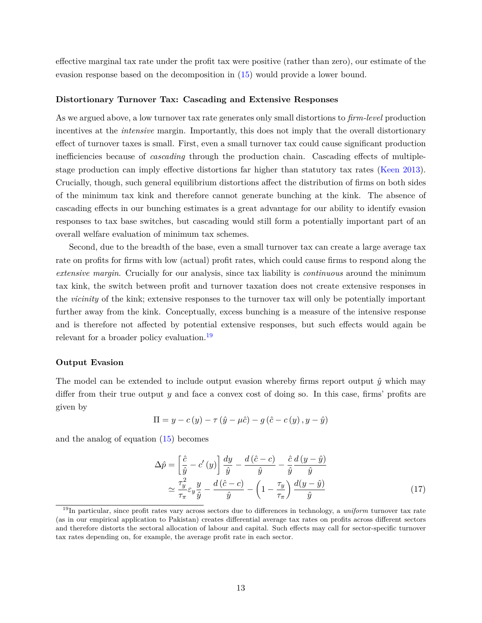effective marginal tax rate under the profit tax were positive (rather than zero), our estimate of the evasion response based on the decomposition in [\(15\)](#page-12-1) would provide a lower bound.

#### **Distortionary Turnover Tax: Cascading and Extensive Responses**

As we argued above, a low turnover tax rate generates only small distortions to *firm-level* production incentives at the *intensive* margin. Importantly, this does not imply that the overall distortionary effect of turnover taxes is small. First, even a small turnover tax could cause significant production inefficiencies because of *cascading* through the production chain. Cascading effects of multiplestage production can imply effective distortions far higher than statutory tax rates [\(Keen](#page-34-13) [2013\)](#page-34-13). Crucially, though, such general equilibrium distortions affect the distribution of firms on both sides of the minimum tax kink and therefore cannot generate bunching at the kink. The absence of cascading effects in our bunching estimates is a great advantage for our ability to identify evasion responses to tax base switches, but cascading would still form a potentially important part of an overall welfare evaluation of minimum tax schemes.

Second, due to the breadth of the base, even a small turnover tax can create a large average tax rate on profits for firms with low (actual) profit rates, which could cause firms to respond along the *extensive margin*. Crucially for our analysis, since tax liability is *continuous* around the minimum tax kink, the switch between profit and turnover taxation does not create extensive responses in the *vicinity* of the kink; extensive responses to the turnover tax will only be potentially important further away from the kink. Conceptually, excess bunching is a measure of the intensive response and is therefore not affected by potential extensive responses, but such effects would again be relevant for a broader policy evaluation.<sup>[19](#page-14-0)</sup>

#### **Output Evasion**

The model can be extended to include output evasion whereby firms report output  $\hat{y}$  which may differ from their true output *y* and face a convex cost of doing so. In this case, firms' profits are given by

$$
\Pi = y - c(y) - \tau (\hat{y} - \mu \hat{c}) - g(\hat{c} - c(y), y - \hat{y})
$$

and the analog of equation [\(15\)](#page-12-1) becomes

<span id="page-14-1"></span>
$$
\Delta \hat{p} = \left[\frac{\hat{c}}{\hat{y}} - c'(y)\right] \frac{dy}{\hat{y}} - \frac{d(\hat{c} - c)}{\hat{y}} - \frac{\hat{c}}{\hat{y}} \frac{d(y - \hat{y})}{\hat{y}}
$$

$$
\simeq \frac{\tau_y^2}{\tau_\pi} \varepsilon_y \frac{y}{\hat{y}} - \frac{d(\hat{c} - c)}{\hat{y}} - \left(1 - \frac{\tau_y}{\tau_\pi}\right) \frac{d(y - \hat{y})}{\hat{y}}
$$
(17)

<span id="page-14-0"></span><sup>19</sup>In particular, since profit rates vary across sectors due to differences in technology, a *uniform* turnover tax rate (as in our empirical application to Pakistan) creates differential average tax rates on profits across different sectors and therefore distorts the sectoral allocation of labour and capital. Such effects may call for sector-specific turnover tax rates depending on, for example, the average profit rate in each sector.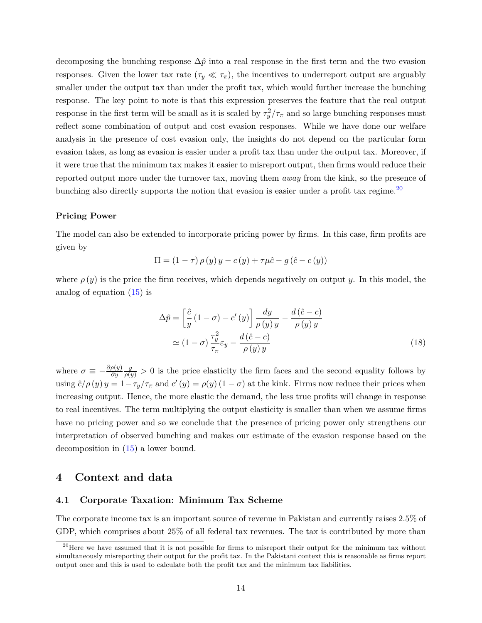decomposing the bunching response  $\Delta \hat{p}$  into a real response in the first term and the two evasion responses. Given the lower tax rate  $(\tau_y \ll \tau_\pi)$ , the incentives to underreport output are arguably smaller under the output tax than under the profit tax, which would further increase the bunching response. The key point to note is that this expression preserves the feature that the real output response in the first term will be small as it is scaled by  $\tau_y^2/\tau_\pi$  and so large bunching responses must reflect some combination of output and cost evasion responses. While we have done our welfare analysis in the presence of cost evasion only, the insights do not depend on the particular form evasion takes, as long as evasion is easier under a profit tax than under the output tax. Moreover, if it were true that the minimum tax makes it easier to misreport output, then firms would reduce their reported output more under the turnover tax, moving them *away* from the kink, so the presence of bunching also directly supports the notion that evasion is easier under a profit tax regime.<sup>[20](#page-15-1)</sup>

#### **Pricing Power**

The model can also be extended to incorporate pricing power by firms. In this case, firm profits are given by

$$
\Pi = (1 - \tau) \rho(y) y - c(y) + \tau \mu \hat{c} - g(\hat{c} - c(y))
$$

where  $\rho(y)$  is the price the firm receives, which depends negatively on output *y*. In this model, the analog of equation [\(15\)](#page-12-1) is

$$
\Delta \hat{p} = \left[ \frac{\hat{c}}{y} \left( 1 - \sigma \right) - c' \left( y \right) \right] \frac{dy}{\rho \left( y \right) y} - \frac{d \left( \hat{c} - c \right)}{\rho \left( y \right) y} \n\simeq \left( 1 - \sigma \right) \frac{\tau_y^2}{\tau_\pi} \varepsilon_y - \frac{d \left( \hat{c} - c \right)}{\rho \left( y \right) y}
$$
\n(18)

where  $\sigma \equiv -\frac{\partial \rho(y)}{\partial y}$ *∂y*  $\frac{y}{\rho(y)} > 0$  is the price elasticity the firm faces and the second equality follows by using  $\hat{c}/\rho(y) y = 1 - \tau_y/\tau_\pi$  and  $c'(y) = \rho(y) (1 - \sigma)$  at the kink. Firms now reduce their prices when increasing output. Hence, the more elastic the demand, the less true profits will change in response to real incentives. The term multiplying the output elasticity is smaller than when we assume firms have no pricing power and so we conclude that the presence of pricing power only strengthens our interpretation of observed bunching and makes our estimate of the evasion response based on the decomposition in [\(15\)](#page-12-1) a lower bound.

#### <span id="page-15-0"></span>**4 Context and data**

#### **4.1 Corporate Taxation: Minimum Tax Scheme**

The corporate income tax is an important source of revenue in Pakistan and currently raises 2.5% of GDP, which comprises about 25% of all federal tax revenues. The tax is contributed by more than

<span id="page-15-1"></span><sup>&</sup>lt;sup>20</sup>Here we have assumed that it is not possible for firms to misreport their output for the minimum tax without simultaneously misreporting their output for the profit tax. In the Pakistani context this is reasonable as firms report output once and this is used to calculate both the profit tax and the minimum tax liabilities.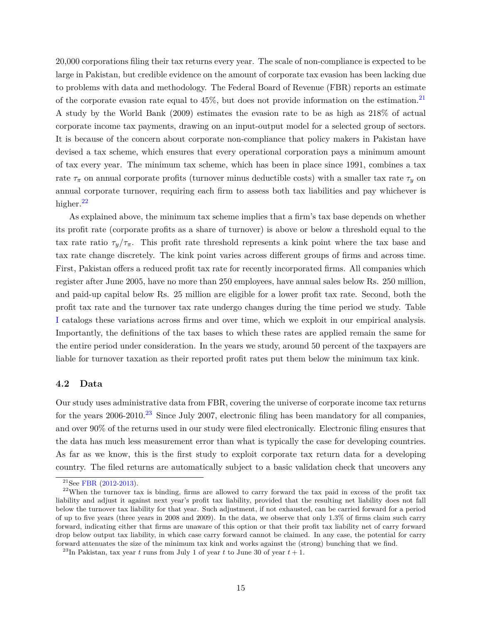20,000 corporations filing their tax returns every year. The scale of non-compliance is expected to be large in Pakistan, but credible evidence on the amount of corporate tax evasion has been lacking due to problems with data and methodology. The Federal Board of Revenue (FBR) reports an estimate of the corporate evasion rate equal to  $45\%$ , but does not provide information on the estimation.<sup>[21](#page-16-0)</sup> A study by the World Bank (2009) estimates the evasion rate to be as high as 218% of actual corporate income tax payments, drawing on an input-output model for a selected group of sectors. It is because of the concern about corporate non-compliance that policy makers in Pakistan have devised a tax scheme, which ensures that every operational corporation pays a minimum amount of tax every year. The minimum tax scheme, which has been in place since 1991, combines a tax rate  $\tau_{\pi}$  on annual corporate profits (turnover minus deductible costs) with a smaller tax rate  $\tau_{y}$  on annual corporate turnover, requiring each firm to assess both tax liabilities and pay whichever is higher.<sup>[22](#page-16-1)</sup>

As explained above, the minimum tax scheme implies that a firm's tax base depends on whether its profit rate (corporate profits as a share of turnover) is above or below a threshold equal to the tax rate ratio  $\tau_y/\tau_\pi$ . This profit rate threshold represents a kink point where the tax base and tax rate change discretely. The kink point varies across different groups of firms and across time. First, Pakistan offers a reduced profit tax rate for recently incorporated firms. All companies which register after June 2005, have no more than 250 employees, have annual sales below Rs. 250 million, and paid-up capital below Rs. 25 million are eligible for a lower profit tax rate. Second, both the profit tax rate and the turnover tax rate undergo changes during the time period we study. Table [I](#page-25-0) catalogs these variations across firms and over time, which we exploit in our empirical analysis. Importantly, the definitions of the tax bases to which these rates are applied remain the same for the entire period under consideration. In the years we study, around 50 percent of the taxpayers are liable for turnover taxation as their reported profit rates put them below the minimum tax kink.

#### **4.2 Data**

Our study uses administrative data from FBR, covering the universe of corporate income tax returns for the years  $2006-2010$ .<sup>[23](#page-16-2)</sup> Since July 2007, electronic filing has been mandatory for all companies, and over 90% of the returns used in our study were filed electronically. Electronic filing ensures that the data has much less measurement error than what is typically the case for developing countries. As far as we know, this is the first study to exploit corporate tax return data for a developing country. The filed returns are automatically subject to a basic validation check that uncovers any

<span id="page-16-1"></span><span id="page-16-0"></span><sup>21</sup>See [FBR](#page-33-13) [\(2012-2013\)](#page-33-13).

 $22$ When the turnover tax is binding, firms are allowed to carry forward the tax paid in excess of the profit tax liability and adjust it against next year's profit tax liability, provided that the resulting net liability does not fall below the turnover tax liability for that year. Such adjustment, if not exhausted, can be carried forward for a period of up to five years (three years in 2008 and 2009). In the data, we observe that only 1.3% of firms claim such carry forward, indicating either that firms are unaware of this option or that their profit tax liability net of carry forward drop below output tax liability, in which case carry forward cannot be claimed. In any case, the potential for carry forward attenuates the size of the minimum tax kink and works against the (strong) bunching that we find.

<span id="page-16-2"></span> $^{23}{\rm In}$  Pakistan, tax year  $t$  runs from July 1 of year  $t$  to June 30 of year  $t+1.$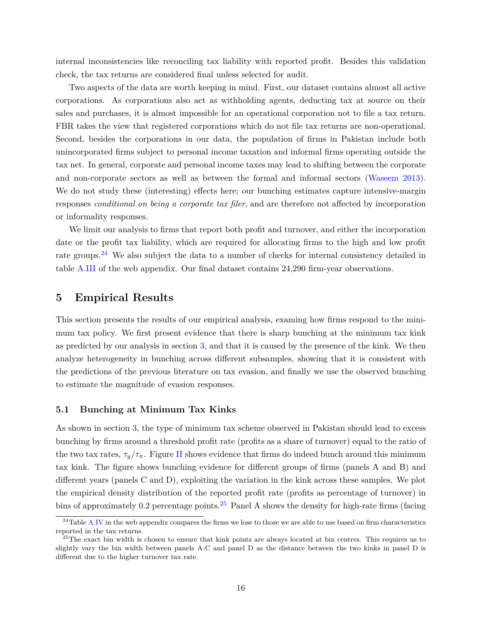internal inconsistencies like reconciling tax liability with reported profit. Besides this validation check, the tax returns are considered final unless selected for audit.

Two aspects of the data are worth keeping in mind. First, our dataset contains almost all active corporations. As corporations also act as withholding agents, deducting tax at source on their sales and purchases, it is almost impossible for an operational corporation not to file a tax return. FBR takes the view that registered corporations which do not file tax returns are non-operational. Second, besides the corporations in our data, the population of firms in Pakistan include both unincorporated firms subject to personal income taxation and informal firms operating outside the tax net. In general, corporate and personal income taxes may lead to shifting between the corporate and non-corporate sectors as well as between the formal and informal sectors [\(Waseem](#page-35-4) [2013\)](#page-35-4). We do not study these (interesting) effects here; our bunching estimates capture intensive-margin responses *conditional on being a corporate tax filer*, and are therefore not affected by incorporation or informality responses.

We limit our analysis to firms that report both profit and turnover, and either the incorporation date or the profit tax liability, which are required for allocating firms to the high and low profit rate groups.<sup>[24](#page-17-1)</sup> We also subject the data to a number of checks for internal consistency detailed in table [A.III](#page-38-0) of the web appendix. Our final dataset contains 24,290 firm-year observations.

# <span id="page-17-0"></span>**5 Empirical Results**

This section presents the results of our empirical analysis, examing how firms respond to the minimum tax policy. We first present evidence that there is sharp bunching at the minimum tax kink as predicted by our analysis in section [3,](#page-10-0) and that it is caused by the presence of the kink. We then analyze heterogeneity in bunching across different subsamples, showing that it is consistent with the predictions of the previous literature on tax evasion, and finally we use the observed bunching to estimate the magnitude of evasion responses.

#### **5.1 Bunching at Minimum Tax Kinks**

As shown in section [3,](#page-10-0) the type of minimum tax scheme observed in Pakistan should lead to excess bunching by firms around a threshold profit rate (profits as a share of turnover) equal to the ratio of the two tax rates,  $\tau_y/\tau_\pi$ . Figure [II](#page-28-0) shows evidence that firms do indeed bunch around this minimum tax kink. The figure shows bunching evidence for different groups of firms (panels A and B) and different years (panels C and D), exploiting the variation in the kink across these samples. We plot the empirical density distribution of the reported profit rate (profits as percentage of turnover) in bins of approximately 0.2 percentage points.<sup>[25](#page-17-2)</sup> Panel A shows the density for high-rate firms (facing

<span id="page-17-1"></span><sup>&</sup>lt;sup>24</sup>Table [A.IV](#page-39-0) in the web appendix compares the firms we lose to those we are able to use based on firm characteristics reported in the tax returns.

<span id="page-17-2"></span> $25$ The exact bin width is chosen to ensure that kink points are always located at bin centres. This requires us to slightly vary the bin width between panels A-C and panel D as the distance between the two kinks in panel D is different due to the higher turnover tax rate.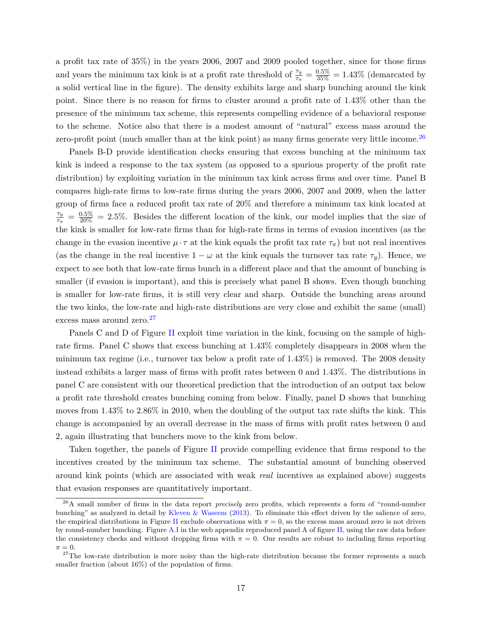a profit tax rate of 35%) in the years 2006, 2007 and 2009 pooled together, since for those firms and years the minimum tax kink is at a profit rate threshold of  $\frac{\tau_y}{\tau_\pi} = \frac{0.5\%}{35\%} = 1.43\%$  (demarcated by a solid vertical line in the figure). The density exhibits large and sharp bunching around the kink point. Since there is no reason for firms to cluster around a profit rate of 1.43% other than the presence of the minimum tax scheme, this represents compelling evidence of a behavioral response to the scheme. Notice also that there is a modest amount of "natural" excess mass around the zero-profit point (much smaller than at the kink point) as many firms generate very little income.<sup>[26](#page-18-0)</sup>

Panels B-D provide identification checks ensuring that excess bunching at the minimum tax kink is indeed a response to the tax system (as opposed to a spurious property of the profit rate distribution) by exploiting variation in the minimum tax kink across firms and over time. Panel B compares high-rate firms to low-rate firms during the years 2006, 2007 and 2009, when the latter group of firms face a reduced profit tax rate of 20% and therefore a minimum tax kink located at *τy*  $\frac{\tau_y}{\tau_\pi} = \frac{0.5\%}{20\%} = 2.5\%$ . Besides the different location of the kink, our model implies that the size of the kink is smaller for low-rate firms than for high-rate firms in terms of evasion incentives (as the change in the evasion incentive  $\mu \cdot \tau$  at the kink equals the profit tax rate  $\tau_{\pi}$ ) but not real incentives (as the change in the real incentive  $1 - \omega$  at the kink equals the turnover tax rate  $\tau_y$ ). Hence, we expect to see both that low-rate firms bunch in a different place and that the amount of bunching is smaller (if evasion is important), and this is precisely what panel B shows. Even though bunching is smaller for low-rate firms, it is still very clear and sharp. Outside the bunching areas around the two kinks, the low-rate and high-rate distributions are very close and exhibit the same (small) excess mass around zero.<sup>[27](#page-18-1)</sup>

Panels C and D of Figure [II](#page-28-0) exploit time variation in the kink, focusing on the sample of highrate firms. Panel C shows that excess bunching at 1*.*43% completely disappears in 2008 when the minimum tax regime (i.e., turnover tax below a profit rate of 1*.*43%) is removed. The 2008 density instead exhibits a larger mass of firms with profit rates between 0 and 1*.*43%. The distributions in panel C are consistent with our theoretical prediction that the introduction of an output tax below a profit rate threshold creates bunching coming from below. Finally, panel D shows that bunching moves from 1*.*43% to 2*.*86% in 2010, when the doubling of the output tax rate shifts the kink. This change is accompanied by an overall decrease in the mass of firms with profit rates between 0 and 2, again illustrating that bunchers move to the kink from below.

Taken together, the panels of Figure [II](#page-28-0) provide compelling evidence that firms respond to the incentives created by the minimum tax scheme. The substantial amount of bunching observed around kink points (which are associated with weak *real* incentives as explained above) suggests that evasion responses are quantitatively important.

<span id="page-18-0"></span><sup>26</sup>A small number of firms in the data report *precisely* zero profits, which represents a form of "round-number bunching" as analyzed in detail by [Kleven & Waseem](#page-34-1) [\(2013\)](#page-34-1). To eliminate this effect driven by the salience of zero, the empirical distributions in Figure [II](#page-28-0) exclude observations with  $\pi = 0$ , so the excess mass around zero is not driven by round-number bunching. Figure [A.I](#page-40-0) in the web appendix reproduced panel A of figure [II,](#page-28-0) using the raw data before the consistency checks and without dropping firms with  $\pi = 0$ . Our results are robust to including firms reporting  $\pi = 0$ .

<span id="page-18-1"></span> $27$ The low-rate distribution is more noisy than the high-rate distribution because the former represents a much smaller fraction (about  $16\%$ ) of the population of firms.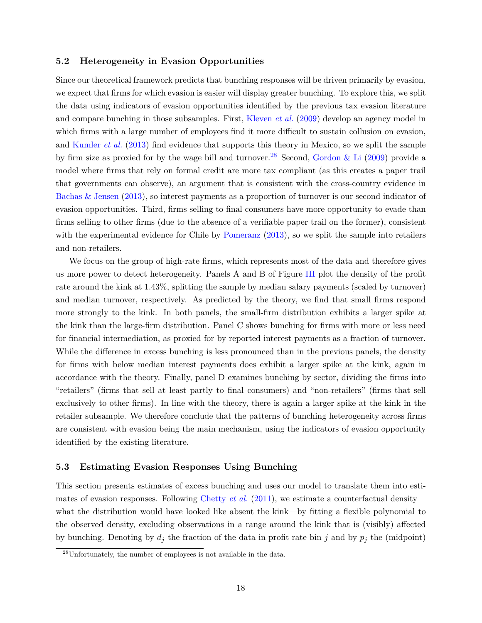#### **5.2 Heterogeneity in Evasion Opportunities**

Since our theoretical framework predicts that bunching responses will be driven primarily by evasion, we expect that firms for which evasion is easier will display greater bunching. To explore this, we split the data using indicators of evasion opportunities identified by the previous tax evasion literature and compare bunching in those subsamples. First, [Kleven](#page-34-5) *et al.* [\(2009\)](#page-34-5) develop an agency model in which firms with a large number of employees find it more difficult to sustain collusion on evasion, and [Kumler](#page-34-3) *et al.* [\(2013\)](#page-34-3) find evidence that supports this theory in Mexico, so we split the sample by firm size as proxied for by the wage bill and turnover.<sup>[28](#page-19-0)</sup> Second, [Gordon & Li](#page-33-2) [\(2009\)](#page-33-2) provide a model where firms that rely on formal credit are more tax compliant (as this creates a paper trail that governments can observe), an argument that is consistent with the cross-country evidence in [Bachas & Jensen](#page-32-13) [\(2013\)](#page-32-13), so interest payments as a proportion of turnover is our second indicator of evasion opportunities. Third, firms selling to final consumers have more opportunity to evade than firms selling to other firms (due to the absence of a verifiable paper trail on the former), consistent with the experimental evidence for Chile by [Pomeranz](#page-34-2) [\(2013\)](#page-34-2), so we split the sample into retailers and non-retailers.

We focus on the group of high-rate firms, which represents most of the data and therefore gives us more power to detect heterogeneity. Panels A and B of Figure [III](#page-29-0) plot the density of the profit rate around the kink at 1*.*43%, splitting the sample by median salary payments (scaled by turnover) and median turnover, respectively. As predicted by the theory, we find that small firms respond more strongly to the kink. In both panels, the small-firm distribution exhibits a larger spike at the kink than the large-firm distribution. Panel C shows bunching for firms with more or less need for financial intermediation, as proxied for by reported interest payments as a fraction of turnover. While the difference in excess bunching is less pronounced than in the previous panels, the density for firms with below median interest payments does exhibit a larger spike at the kink, again in accordance with the theory. Finally, panel D examines bunching by sector, dividing the firms into "retailers" (firms that sell at least partly to final consumers) and "non-retailers" (firms that sell exclusively to other firms). In line with the theory, there is again a larger spike at the kink in the retailer subsample. We therefore conclude that the patterns of bunching heterogeneity across firms are consistent with evasion being the main mechanism, using the indicators of evasion opportunity identified by the existing literature.

#### **5.3 Estimating Evasion Responses Using Bunching**

This section presents estimates of excess bunching and uses our model to translate them into esti-mates of evasion responses. Following [Chetty](#page-32-2) *et al.* [\(2011\)](#page-32-2), we estimate a counterfactual density what the distribution would have looked like absent the kink—by fitting a flexible polynomial to the observed density, excluding observations in a range around the kink that is (visibly) affected by bunching. Denoting by  $d_j$  the fraction of the data in profit rate bin *j* and by  $p_j$  the (midpoint)

<span id="page-19-0"></span><sup>28</sup>Unfortunately, the number of employees is not available in the data.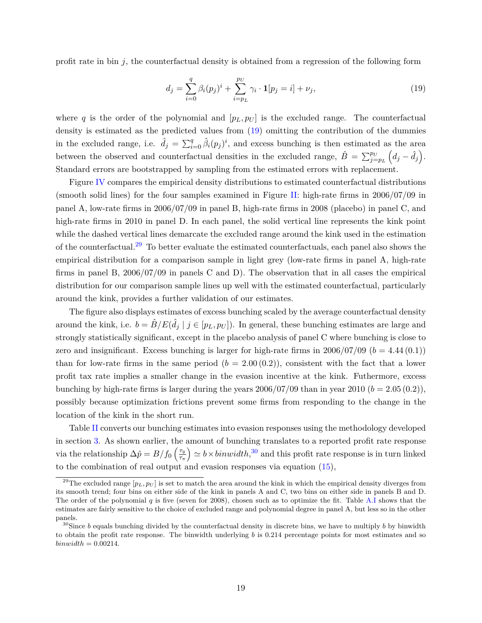profit rate in bin  $j$ , the counterfactual density is obtained from a regression of the following form

<span id="page-20-3"></span><span id="page-20-0"></span>
$$
d_j = \sum_{i=0}^{q} \beta_i (p_j)^i + \sum_{i=p_L}^{p_U} \gamma_i \cdot \mathbf{1}[p_j = i] + \nu_j,
$$
\n(19)

where q is the order of the polynomial and  $[p_L, p_U]$  is the excluded range. The counterfactual density is estimated as the predicted values from [\(19\)](#page-20-0) omitting the contribution of the dummies in the excluded range, i.e.  $\hat{d}_j = \sum_{i=0}^q \hat{\beta}_i(p_j)^i$ , and excess bunching is then estimated as the area between the observed and counterfactual densities in the excluded range,  $\hat{B} = \sum_{j=p_L}^{p_U} (d_j - \hat{d}_j)$ . Standard errors are bootstrapped by sampling from the estimated errors with replacement.

Figure [IV](#page-30-0) compares the empirical density distributions to estimated counterfactual distributions (smooth solid lines) for the four samples examined in Figure [II:](#page-28-0) high-rate firms in  $2006/07/09$  in panel A, low-rate firms in 2006/07/09 in panel B, high-rate firms in 2008 (placebo) in panel C, and high-rate firms in 2010 in panel D. In each panel, the solid vertical line represents the kink point while the dashed vertical lines demarcate the excluded range around the kink used in the estimation of the counterfactual.<sup>[29](#page-20-1)</sup> To better evaluate the estimated counterfactuals, each panel also shows the empirical distribution for a comparison sample in light grey (low-rate firms in panel A, high-rate firms in panel B, 2006/07/09 in panels C and D). The observation that in all cases the empirical distribution for our comparison sample lines up well with the estimated counterfactual, particularly around the kink, provides a further validation of our estimates.

The figure also displays estimates of excess bunching scaled by the average counterfactual density around the kink, i.e.  $b = \hat{B}/E(\hat{d}_j \mid j \in [p_L, p_U])$ . In general, these bunching estimates are large and strongly statistically significant, except in the placebo analysis of panel C where bunching is close to zero and insignificant. Excess bunching is larger for high-rate firms in  $2006/07/09$  ( $b = 4.44(0.1)$ ) than for low-rate firms in the same period  $(b = 2.00(0.2))$ , consistent with the fact that a lower profit tax rate implies a smaller change in the evasion incentive at the kink. Futhermore, excess bunching by high-rate firms is larger during the years  $2006/07/09$  than in year  $2010 (b = 2.05 (0.2)),$ possibly because optimization frictions prevent some firms from responding to the change in the location of the kink in the short run.

Table [II](#page-26-0) converts our bunching estimates into evasion responses using the methodology developed in section [3.](#page-10-0) As shown earlier, the amount of bunching translates to a reported profit rate response via the relationship  $\Delta \hat{p} = B/f_0 \left(\frac{\tau_y}{\tau_x}\right)$ *τπ*  $\phi$   $\simeq b \times binwidth$ ,<sup>[30](#page-20-2)</sup> and this profit rate response is in turn linked to the combination of real output and evasion responses via equation [\(15\)](#page-12-1),

<span id="page-20-1"></span><sup>&</sup>lt;sup>29</sup>The excluded range  $[p_L, p_U]$  is set to match the area around the kink in which the empirical density diverges from its smooth trend; four bins on either side of the kink in panels A and C, two bins on either side in panels B and D. The order of the polynomial *q* is five (seven for 2008), chosen such as to optimize the fit. Table [A.I](#page-36-0) shows that the estimates are fairly sensitive to the choice of excluded range and polynomial degree in panel A, but less so in the other panels.

<span id="page-20-2"></span><sup>30</sup>Since *b* equals bunching divided by the counterfactual density in discrete bins, we have to multiply *b* by binwidth to obtain the profit rate response. The binwidth underlying *b* is 0.214 percentage points for most estimates and so  $binwidth = 0.00214.$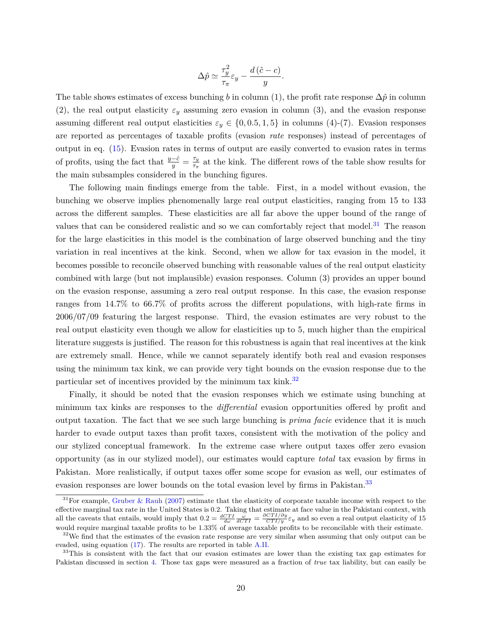$$
\Delta \hat{p} \simeq \frac{\tau_y^2}{\tau_\pi} \varepsilon_y - \frac{d\left(\hat{c} - c\right)}{y}.
$$

The table shows estimates of excess bunching *b* in column (1), the profit rate response  $\Delta \hat{p}$  in column (2), the real output elasticity  $\varepsilon_y$  assuming zero evasion in column (3), and the evasion response assuming different real output elasticities  $\varepsilon_y \in \{0, 0.5, 1, 5\}$  in columns (4)-(7). Evasion responses are reported as percentages of taxable profits (evasion *rate* responses) instead of percentages of output in eq. [\(15\)](#page-12-1). Evasion rates in terms of output are easily converted to evasion rates in terms of profits, using the fact that  $\frac{y-\hat{c}}{y} = \frac{\tau_y}{\tau_{\pi}}$  $\frac{\tau_y}{\tau_{\pi}}$  at the kink. The different rows of the table show results for the main subsamples considered in the bunching figures.

The following main findings emerge from the table. First, in a model without evasion, the bunching we observe implies phenomenally large real output elasticities, ranging from 15 to 133 across the different samples. These elasticities are all far above the upper bound of the range of values that can be considered realistic and so we can comfortably reject that model.<sup>[31](#page-21-0)</sup> The reason for the large elasticities in this model is the combination of large observed bunching and the tiny variation in real incentives at the kink. Second, when we allow for tax evasion in the model, it becomes possible to reconcile observed bunching with reasonable values of the real output elasticity combined with large (but not implausible) evasion responses. Column (3) provides an upper bound on the evasion response, assuming a zero real output response. In this case, the evasion response ranges from 14.7% to 66.7% of profits across the different populations, with high-rate firms in 2006/07/09 featuring the largest response. Third, the evasion estimates are very robust to the real output elasticity even though we allow for elasticities up to 5, much higher than the empirical literature suggests is justified. The reason for this robustness is again that real incentives at the kink are extremely small. Hence, while we cannot separately identify both real and evasion responses using the minimum tax kink, we can provide very tight bounds on the evasion response due to the particular set of incentives provided by the minimum tax kink.<sup>[32](#page-21-1)</sup>

Finally, it should be noted that the evasion responses which we estimate using bunching at minimum tax kinks are responses to the *differential* evasion opportunities offered by profit and output taxation. The fact that we see such large bunching is *prima facie* evidence that it is much harder to evade output taxes than profit taxes, consistent with the motivation of the policy and our stylized conceptual framework. In the extreme case where output taxes offer zero evasion opportunity (as in our stylized model), our estimates would capture *total* tax evasion by firms in Pakistan. More realistically, if output taxes offer some scope for evasion as well, our estimates of evasion responses are lower bounds on the total evasion level by firms in Pakistan.<sup>[33](#page-21-2)</sup>

<span id="page-21-0"></span> $31$  For example, [Gruber & Rauh](#page-33-8) [\(2007\)](#page-33-8) estimate that the elasticity of corporate taxable income with respect to the effective marginal tax rate in the United States is 0.2. Taking that estimate at face value in the Pakistani context, with all the caveats that entails, would imply that  $0.2 = \frac{dCTI}{d\omega} \frac{\omega}{dCTI} = \frac{\partial CTI/\partial y}{CTI/y} \varepsilon_y$  and so even a real output elasticity of 15 would require marginal taxable profits to be 1.33% of average taxable profits to be reconcilable with their estimate.

<span id="page-21-1"></span> $32$ We find that the estimates of the evasion rate response are very similar when assuming that only output can be evaded, using equation [\(17\)](#page-14-1). The results are reported in table [A.II.](#page-37-0)

<span id="page-21-2"></span><sup>&</sup>lt;sup>33</sup>This is consistent with the fact that our evasion estimates are lower than the existing tax gap estimates for Pakistan discussed in section [4.](#page-15-0) Those tax gaps were measured as a fraction of *true* tax liability, but can easily be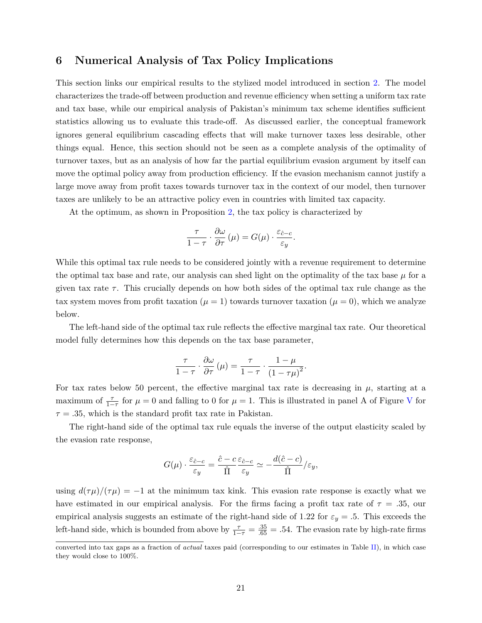### <span id="page-22-0"></span>**6 Numerical Analysis of Tax Policy Implications**

This section links our empirical results to the stylized model introduced in section [2.](#page-5-0) The model characterizes the trade-off between production and revenue efficiency when setting a uniform tax rate and tax base, while our empirical analysis of Pakistan's minimum tax scheme identifies sufficient statistics allowing us to evaluate this trade-off. As discussed earlier, the conceptual framework ignores general equilibrium cascading effects that will make turnover taxes less desirable, other things equal. Hence, this section should not be seen as a complete analysis of the optimality of turnover taxes, but as an analysis of how far the partial equilibrium evasion argument by itself can move the optimal policy away from production efficiency. If the evasion mechanism cannot justify a large move away from profit taxes towards turnover tax in the context of our model, then turnover taxes are unlikely to be an attractive policy even in countries with limited tax capacity.

At the optimum, as shown in Proposition [2,](#page-8-3) the tax policy is characterized by

$$
\frac{\tau}{1-\tau} \cdot \frac{\partial \omega}{\partial \tau}(\mu) = G(\mu) \cdot \frac{\varepsilon_{\hat{c}-c}}{\varepsilon_y}.
$$

While this optimal tax rule needs to be considered jointly with a revenue requirement to determine the optimal tax base and rate, our analysis can shed light on the optimality of the tax base  $\mu$  for a given tax rate  $\tau$ . This crucially depends on how both sides of the optimal tax rule change as the tax system moves from profit taxation ( $\mu = 1$ ) towards turnover taxation ( $\mu = 0$ ), which we analyze below.

The left-hand side of the optimal tax rule reflects the effective marginal tax rate. Our theoretical model fully determines how this depends on the tax base parameter,

$$
\frac{\tau}{1-\tau} \cdot \frac{\partial \omega}{\partial \tau}(\mu) = \frac{\tau}{1-\tau} \cdot \frac{1-\mu}{(1-\tau\mu)^2}.
$$

For tax rates below 50 percent, the effective marginal tax rate is decreasing in  $\mu$ , starting at a maximum of  $\frac{\tau}{1-\tau}$  for  $\mu = 0$  and falling to 0 for  $\mu = 1$ . This is illustrated in panel A of Figure [V](#page-31-0) for  $\tau = .35$ , which is the standard profit tax rate in Pakistan.

The right-hand side of the optimal tax rule equals the inverse of the output elasticity scaled by the evasion rate response,

$$
G(\mu) \cdot \frac{\varepsilon_{\hat{c}-c}}{\varepsilon_y} = \frac{\hat{c}-c}{\hat{\Pi}} \frac{\varepsilon_{\hat{c}-c}}{\varepsilon_y} \simeq -\frac{d(\hat{c}-c)}{\hat{\Pi}}/\varepsilon_y,
$$

using  $d(\tau\mu)/(\tau\mu) = -1$  at the minimum tax kink. This evasion rate response is exactly what we have estimated in our empirical analysis. For the firms facing a profit tax rate of  $\tau = .35$ , our empirical analysis suggests an estimate of the right-hand side of 1.22 for  $\varepsilon_y = .5$ . This exceeds the left-hand side, which is bounded from above by  $\frac{\tau}{1-\tau} = \frac{.35}{.65} = .54$ . The evasion rate by high-rate firms

converted into tax gaps as a fraction of *actual* taxes paid (corresponding to our estimates in Table [II\)](#page-26-0), in which case they would close to 100%.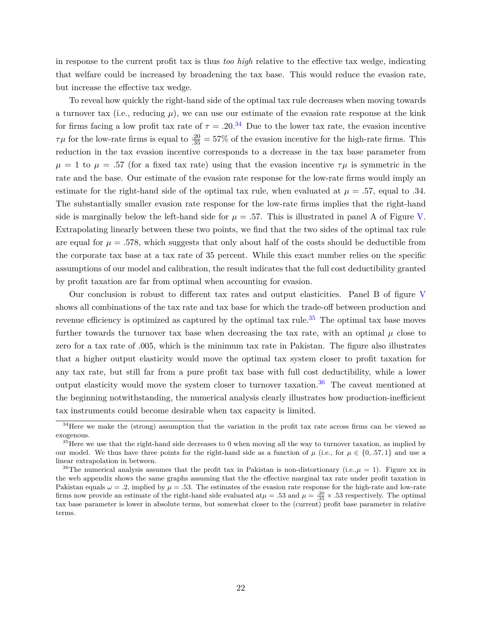in response to the current profit tax is thus *too high* relative to the effective tax wedge, indicating that welfare could be increased by broadening the tax base. This would reduce the evasion rate, but increase the effective tax wedge.

To reveal how quickly the right-hand side of the optimal tax rule decreases when moving towards a turnover tax (i.e., reducing  $\mu$ ), we can use our estimate of the evasion rate response at the kink for firms facing a low profit tax rate of  $\tau = .20$ .<sup>[34](#page-23-0)</sup> Due to the lower tax rate, the evasion incentive  $\tau\mu$  for the low-rate firms is equal to  $\frac{20}{35} = 57\%$  of the evasion incentive for the high-rate firms. This reduction in the tax evasion incentive corresponds to a decrease in the tax base parameter from  $\mu = 1$  to  $\mu = .57$  (for a fixed tax rate) using that the evasion incentive  $\tau\mu$  is symmetric in the rate and the base. Our estimate of the evasion rate response for the low-rate firms would imply an estimate for the right-hand side of the optimal tax rule, when evaluated at  $\mu = .57$ , equal to *.*34. The substantially smaller evasion rate response for the low-rate firms implies that the right-hand side is marginally below the left-hand side for  $\mu = .57$ . This is illustrated in panel A of Figure [V.](#page-31-0) Extrapolating linearly between these two points, we find that the two sides of the optimal tax rule are equal for  $\mu = 0.578$ , which suggests that only about half of the costs should be deductible from the corporate tax base at a tax rate of 35 percent. While this exact number relies on the specific assumptions of our model and calibration, the result indicates that the full cost deductibility granted by profit taxation are far from optimal when accounting for evasion.

Our conclusion is robust to different tax rates and output elasticities. Panel B of figure [V](#page-31-0) shows all combinations of the tax rate and tax base for which the trade-off between production and revenue efficiency is optimized as captured by the optimal tax rule.<sup>[35](#page-23-1)</sup> The optimal tax base moves further towards the turnover tax base when decreasing the tax rate, with an optimal  $\mu$  close to zero for a tax rate of *.*005, which is the minimum tax rate in Pakistan. The figure also illustrates that a higher output elasticity would move the optimal tax system closer to profit taxation for any tax rate, but still far from a pure profit tax base with full cost deductibility, while a lower output elasticity would move the system closer to turnover taxation.<sup>[36](#page-23-2)</sup> The caveat mentioned at the beginning notwithstanding, the numerical analysis clearly illustrates how production-inefficient tax instruments could become desirable when tax capacity is limited.

<span id="page-23-0"></span><sup>&</sup>lt;sup>34</sup>Here we make the (strong) assumption that the variation in the profit tax rate across firms can be viewed as exogenous.

<span id="page-23-1"></span> $35$  Here we use that the right-hand side decreases to 0 when moving all the way to turnover taxation, as implied by our model. We thus have three points for the right-hand side as a function of  $\mu$  (i.e., for  $\mu \in \{0, .57, 1\}$  and use a linear extrapolation in between.

<span id="page-23-2"></span><sup>&</sup>lt;sup>36</sup>The numerical analysis assumes that the profit tax in Pakistan is non-distortionary (i.e., $\mu = 1$ ). Figure xx in the web appendix shows the same graphs assuming that the the effective marginal tax rate under profit taxation in Pakistan equals  $\omega = .2$ , implied by  $\mu = .53$ . The estimates of the evasion rate response for the high-rate and low-rate firms now provide an estimate of the right-hand side evaluated at  $\mu = .53$  and  $\mu = \frac{.20}{.35} \times .53$  respectively. The optimal tax base parameter is lower in absolute terms, but somewhat closer to the (current) profit base parameter in relative terms.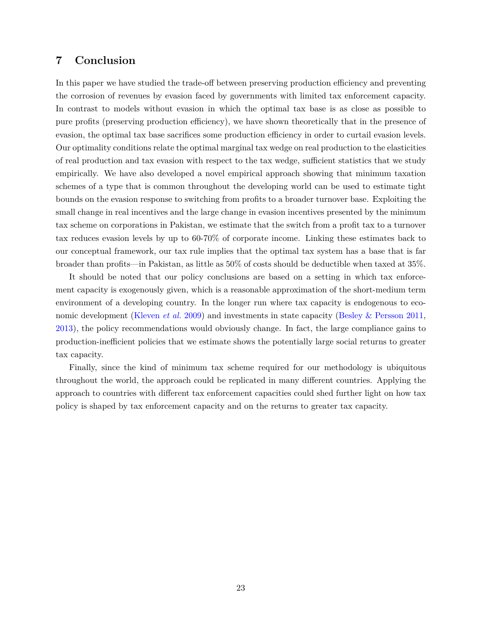# <span id="page-24-0"></span>**7 Conclusion**

In this paper we have studied the trade-off between preserving production efficiency and preventing the corrosion of revenues by evasion faced by governments with limited tax enforcement capacity. In contrast to models without evasion in which the optimal tax base is as close as possible to pure profits (preserving production efficiency), we have shown theoretically that in the presence of evasion, the optimal tax base sacrifices some production efficiency in order to curtail evasion levels. Our optimality conditions relate the optimal marginal tax wedge on real production to the elasticities of real production and tax evasion with respect to the tax wedge, sufficient statistics that we study empirically. We have also developed a novel empirical approach showing that minimum taxation schemes of a type that is common throughout the developing world can be used to estimate tight bounds on the evasion response to switching from profits to a broader turnover base. Exploiting the small change in real incentives and the large change in evasion incentives presented by the minimum tax scheme on corporations in Pakistan, we estimate that the switch from a profit tax to a turnover tax reduces evasion levels by up to 60-70% of corporate income. Linking these estimates back to our conceptual framework, our tax rule implies that the optimal tax system has a base that is far broader than profits—in Pakistan, as little as 50% of costs should be deductible when taxed at 35%.

It should be noted that our policy conclusions are based on a setting in which tax enforcement capacity is exogenously given, which is a reasonable approximation of the short-medium term environment of a developing country. In the longer run where tax capacity is endogenous to economic development [\(Kleven](#page-34-5) *et al.* [2009\)](#page-34-5) and investments in state capacity [\(Besley & Persson](#page-32-5) [2011,](#page-32-5) [2013\)](#page-32-7), the policy recommendations would obviously change. In fact, the large compliance gains to production-inefficient policies that we estimate shows the potentially large social returns to greater tax capacity.

Finally, since the kind of minimum tax scheme required for our methodology is ubiquitous throughout the world, the approach could be replicated in many different countries. Applying the approach to countries with different tax enforcement capacities could shed further light on how tax policy is shaped by tax enforcement capacity and on the returns to greater tax capacity.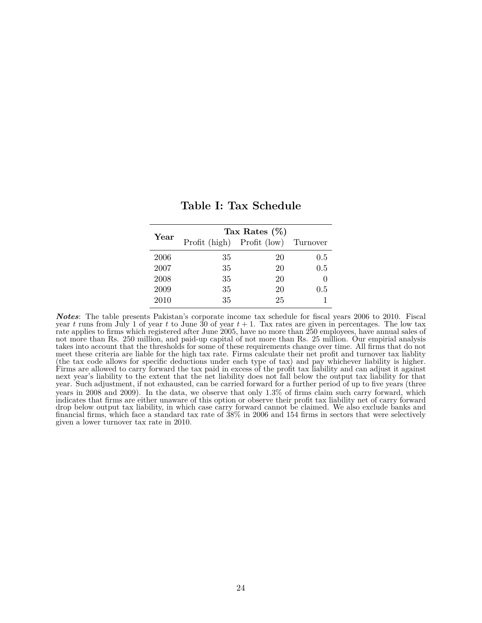<span id="page-25-0"></span>

| Year | Tax Rates $(\%)$ |                                     |     |  |  |  |
|------|------------------|-------------------------------------|-----|--|--|--|
|      |                  | Profit (high) Profit (low) Turnover |     |  |  |  |
| 2006 | 35               | 20                                  | 0.5 |  |  |  |
| 2007 | 35               | 20                                  | 0.5 |  |  |  |
| 2008 | 35               | 20                                  |     |  |  |  |
| 2009 | 35               | 20                                  | 0.5 |  |  |  |
| 2010 | 35               | 25                                  |     |  |  |  |

**Table I: Tax Schedule**

*Notes*: The table presents Pakistan's corporate income tax schedule for fiscal years 2006 to 2010. Fiscal year *t* runs from July 1 of year *t* to June 30 of year *t* + 1. Tax rates are given in percentages. The low tax rate applies to firms which registered after June 2005, have no more than 250 employees, have annual sales of not more than Rs. 250 million, and paid-up capital of not more than Rs. 25 million. Our empirial analysis takes into account that the thresholds for some of these requirements change over time. All firms that do not meet these criteria are liable for the high tax rate. Firms calculate their net profit and turnover tax liablity (the tax code allows for specific deductions under each type of tax) and pay whichever liability is higher. Firms are allowed to carry forward the tax paid in excess of the profit tax liability and can adjust it against next year's liability to the extent that the net liability does not fall below the output tax liability for that year. Such adjustment, if not exhausted, can be carried forward for a further period of up to five years (three years in 2008 and 2009). In the data, we observe that only 1.3% of firms claim such carry forward, which indicates that firms are either unaware of this option or observe their profit tax liability net of carry forward drop below output tax liability, in which case carry forward cannot be claimed. We also exclude banks and financial firms, which face a standard tax rate of 38% in 2006 and 154 firms in sectors that were selectively given a lower turnover tax rate in 2010.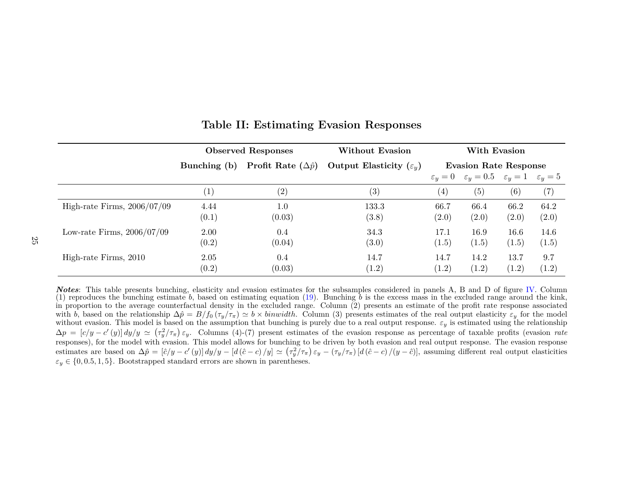|                               | <b>Observed Responses</b> |                                       | Without Evasion                     | With Evasion                 |                                                               |                   |                   |
|-------------------------------|---------------------------|---------------------------------------|-------------------------------------|------------------------------|---------------------------------------------------------------|-------------------|-------------------|
|                               | Bunching (b)              | <b>Profit Rate</b> $(\Delta \hat{p})$ | Output Elasticity $(\varepsilon_u)$ | <b>Evasion Rate Response</b> |                                                               |                   |                   |
|                               |                           |                                       |                                     |                              | $\varepsilon_y = 0$ $\varepsilon_y = 0.5$ $\varepsilon_y = 1$ |                   | $\varepsilon_y=5$ |
|                               | $\left(1\right)$          | (2)                                   | (3)                                 | (4)                          | (5)                                                           | $\left( 6\right)$ | (7)               |
| High-rate Firms, $2006/07/09$ | 4.44<br>(0.1)             | 1.0<br>(0.03)                         | 133.3<br>(3.8)                      | 66.7<br>(2.0)                | 66.4<br>(2.0)                                                 | 66.2<br>(2.0)     | 64.2<br>(2.0)     |
| Low-rate Firms, $2006/07/09$  | 2.00<br>(0.2)             | 0.4<br>(0.04)                         | 34.3<br>(3.0)                       | 17.1<br>(1.5)                | 16.9<br>(1.5)                                                 | 16.6<br>(1.5)     | 14.6<br>(1.5)     |
| High-rate Firms, 2010         | 2.05<br>(0.2)             | 0.4<br>(0.03)                         | 14.7<br>(1.2)                       | 14.7<br>(1.2)                | 14.2<br>(1.2)                                                 | 13.7<br>(1.2)     | 9.7<br>(1.2)      |

# <span id="page-26-1"></span><span id="page-26-0"></span>**Table II: Estimating Evasion Responses**

*Notes*: This table presents bunching, elasticity and evasion estimates for the subsamples considered in panels A, B and D of figure [IV.](#page-30-1) Column(1) reproduces the bunching estimate *b*, based on estimating equation [\(19\)](#page-20-3). Bunching *b* is the excess mass in the excluded range around the kink, in proportion to the average counterfactual density in the excluded range. Column (2) presents an estimate of the profit rate response associatedwith b, based on the relationship  $\Delta \hat{p} = B/f_0(\tau_y/\tau_{\pi}) \simeq b \times binwidth$ . Column (3) presents estimates of the real output elasticity  $\varepsilon_y$  for the model without evasion. This model is based on the assumption that bunching is  $\Delta p = [c/y - c'(y)] dy/y \simeq (\tau_y^2/\tau_\pi) \varepsilon_y$ . Columns (4)-(7) present estimates of the evasion response as percentage of taxable profits (evasion *rate* responses), for the model with evasion. This model allows for bunching to be driven by both evasion and real output response. The evasion responseestimates are based on  $\Delta \hat{p} = [\hat{c}/y - c'(y)] dy/y - [d(\hat{c} - c)/y] \simeq (\tau_y^2/\tau_\pi) \varepsilon_y - (\tau_y/\tau_\pi) [d(\hat{c} - c)/(y - \hat{c})]$ , assuming different real output elasticities  $\varepsilon_y \in \{0, 0.5, 1, 5\}$ . Bootstrapped standard errors are shown in parentheses.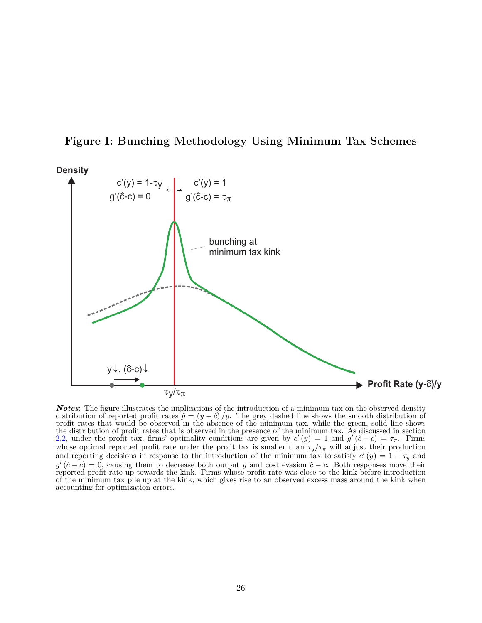

# <span id="page-27-0"></span>**Figure I: Bunching Methodology Using Minimum Tax Schemes**

*Notes*: The figure illustrates the implications of the introduction of a minimum tax on the observed density distribution of reported profit rates  $\hat{p} = (y - \hat{c})/y$ . The grey dashed line shows the smooth distribution of profit rates that would be observed in the absence of the minimum tax, while the green, solid line shows the distribution of profit rates that is observed in the presence of the minimum tax. As discussed in section [2.2,](#page-7-1) under the profit tax, firms' optimality conditions are given by  $c'(y) = 1$  and  $g'(\hat{c} - c) = \tau_{\pi}$ . Firms whose optimal reported profit rate under the profit tax is smaller than  $\tau_y/\tau_\pi$  will adjust their production and reporting decisions in response to the introduction of the minimum tax to satisfy  $c'(y) = 1 - \tau_y$  and  $g'(\hat{c}-c) = 0$ , causing them to decrease both output *y* and cost evasion  $\hat{c}-c$ . Both responses move their reported profit rate up towards the kink. Firms whose profit rate was close to the kink before introduction of the minimum tax pile up at the kink, which gives rise to an observed excess mass around the kink when accounting for optimization errors.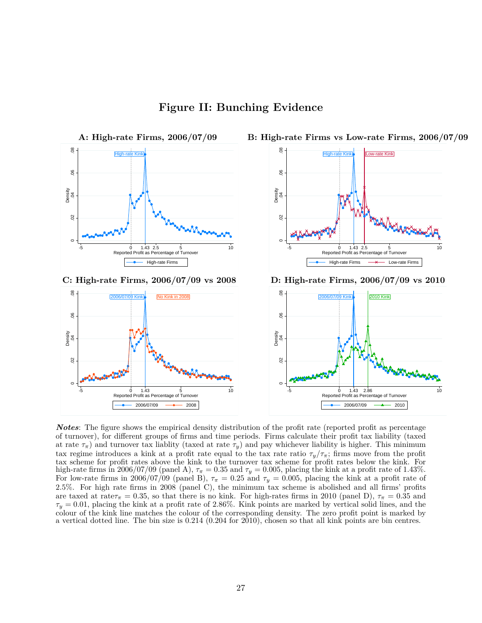**Figure II: Bunching Evidence**

<span id="page-28-0"></span>

*Notes*: The figure shows the empirical density distribution of the profit rate (reported profit as percentage of turnover), for different groups of firms and time periods. Firms calculate their profit tax liability (taxed at rate  $\tau_{\pi}$ ) and turnover tax liablity (taxed at rate  $\tau_y$ ) and pay whichever liability is higher. This minimum tax regime introduces a kink at a profit rate equal to the tax rate ratio  $\tau_y/\tau_{\pi}$ ; firms move from the profit tax scheme for profit rates above the kink to the turnover tax scheme for profit rates below the kink. For high-rate firms in 2006/07/09 (panel A),  $\tau_{\pi} = 0.35$  and  $\tau_{y} = 0.005$ , placing the kink at a profit rate of 1.43%. For low-rate firms in 2006/07/09 (panel B),  $\tau_{\pi} = 0.25$  and  $\tau_{y} = 0.005$ , placing the kink at a profit rate of 2.5%. For high rate firms in 2008 (panel C), the minimum tax scheme is abolished and all firms' profits are taxed at rate $\tau_{\pi} = 0.35$ , so that there is no kink. For high-rates firms in 2010 (panel D),  $\tau_{\pi} = 0.35$  and *τ<sup>y</sup>* = 0*.*01, placing the kink at a profit rate of 2.86%. Kink points are marked by vertical solid lines, and the colour of the kink line matches the colour of the corresponding density. The zero profit point is marked by a vertical dotted line. The bin size is 0.214 (0.204 for 2010), chosen so that all kink points are bin centres.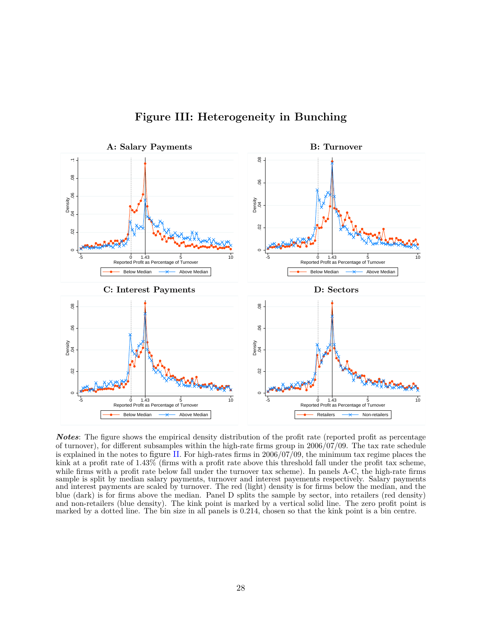<span id="page-29-0"></span>

**Figure III: Heterogeneity in Bunching**

*Notes*: The figure shows the empirical density distribution of the profit rate (reported profit as percentage of turnover), for different subsamples within the high-rate firms group in 2006/07/09. The tax rate schedule is explained in the notes to figure [II](#page-28-0). For high-rates firms in  $200\frac{6}{07}$ , the minimum tax regime places the kink at a profit rate of 1.43% (firms with a profit rate above this threshold fall under the profit tax scheme, while firms with a profit rate below fall under the turnover tax scheme). In panels A-C, the high-rate firms sample is split by median salary payments, turnover and interest payements respectively. Salary payments and interest payments are scaled by turnover. The red (light) density is for firms below the median, and the blue (dark) is for firms above the median. Panel D splits the sample by sector, into retailers (red density) and non-retailers (blue density). The kink point is marked by a vertical solid line. The zero profit point is marked by a dotted line. The bin size in all panels is 0.214, chosen so that the kink point is a bin centre.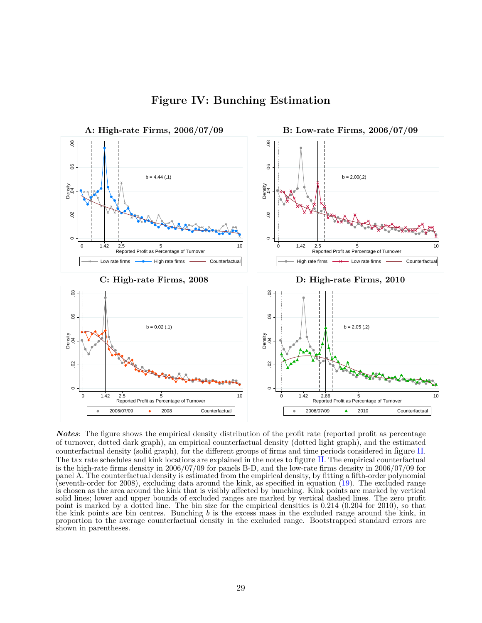<span id="page-30-0"></span>

<span id="page-30-1"></span>**Figure IV: Bunching Estimation**

*Notes*: The figure shows the empirical density distribution of the profit rate (reported profit as percentage of turnover, dotted dark graph), an empirical counterfactual density (dotted light graph), and the estimated counterfactual density (solid graph), for the different groups of firms and time periods considered in figure [II](#page-28-0). The tax rate schedules and kink locations are explained in the notes to figure [II](#page-28-0). The empirical counterfactual is the high-rate firms density in 2006/07/09 for panels B-D, and the low-rate firms density in 2006/07/09 for panel A. The counterfactual density is estimated from the empirical density, by fitting a fifth-order polynomial (seventh-order for 2008), excluding data around the kink, as specified in equation [\(19\)](#page-20-0). The excluded range is chosen as the area around the kink that is visibly affected by bunching. Kink points are marked by vertical solid lines; lower and upper bounds of excluded ranges are marked by vertical dashed lines. The zero profit point is marked by a dotted line. The bin size for the empirical densities is 0.214 (0.204 for 2010), so that the kink points are bin centres. Bunching *b* is the excess mass in the excluded range around the kink, in proportion to the average counterfactual density in the excluded range. Bootstrapped standard errors are shown in parentheses.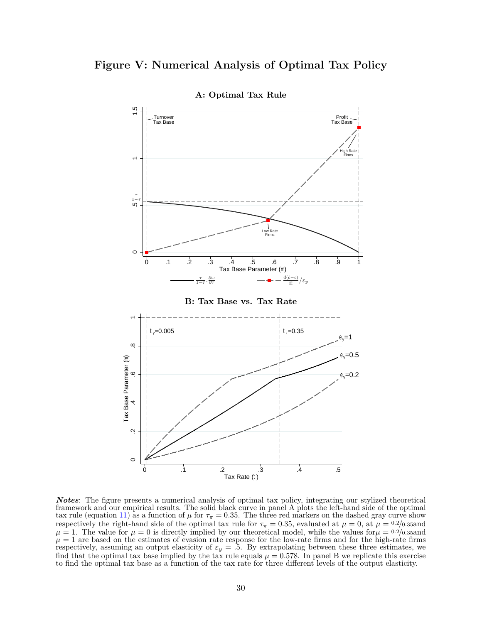# <span id="page-31-0"></span>**Figure V: Numerical Analysis of Optimal Tax Policy**



*Notes*: The figure presents a numerical analysis of optimal tax policy, integrating our stylized theoretical framework and our empirical results. The solid black curve in panel A plots the left-hand side of the optimal tax rule (equation [11\)](#page-8-2) as a function of  $\mu$  for  $\tau_{\pi} = 0.35$ . The three red markers on the dashed gray curve show respectively the right-hand side of the optimal tax rule for  $\tau_{\pi} = 0.35$ , evaluated at  $\mu = 0$ , at  $\mu = 0.2/0.35$  and  $\mu = 1$ . The value for  $\mu = 0$  is directly implied by our theoretical model, while the values for  $\mu = 0.2/0.35$  and  $\mu = 1$  are based on the estimates of evasion rate response for the low-rate firms and for the high-rate firms respectively, assuming an output elasticity of  $\varepsilon_y = .5$ . By extrapolating between these three estimates, we find that the optimal tax base implied by the tax rule equals  $\mu = 0.578$ . In panel B we replicate this exercise to find the optimal tax base as a function of the tax rate for three different levels of the output elasticity.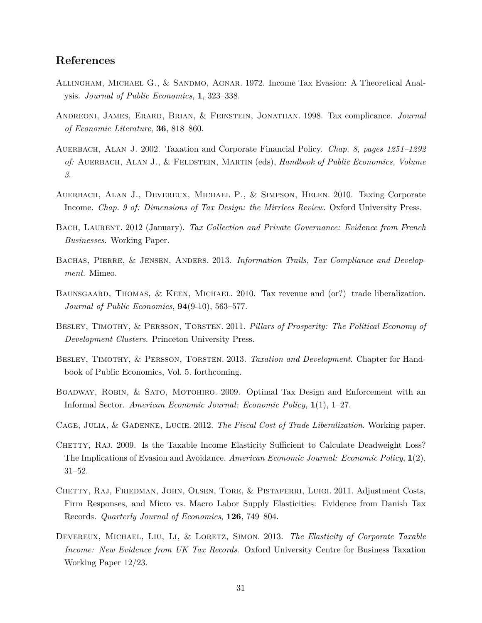# **References**

- <span id="page-32-11"></span>Allingham, Michael G., & Sandmo, Agnar. 1972. Income Tax Evasion: A Theoretical Analysis. *Journal of Public Economics*, **1**, 323–338.
- <span id="page-32-6"></span>Andreoni, James, Erard, Brian, & Feinstein, Jonathan. 1998. Tax complicance. *Journal of Economic Literature*, **36**, 818–860.
- <span id="page-32-8"></span>Auerbach, Alan J. 2002. Taxation and Corporate Financial Policy. *Chap. 8, pages 1251–1292 of:* Auerbach, Alan J., & Feldstein, Martin (eds), *Handbook of Public Economics, Volume 3*.
- <span id="page-32-3"></span>Auerbach, Alan J., Devereux, Michael P., & Simpson, Helen. 2010. Taxing Corporate Income. *Chap. 9 of: Dimensions of Tax Design: the Mirrlees Review*. Oxford University Press.
- <span id="page-32-9"></span>Bach, Laurent. 2012 (January). *Tax Collection and Private Governance: Evidence from French Businesses*. Working Paper.
- <span id="page-32-13"></span>Bachas, Pierre, & Jensen, Anders. 2013. *Information Trails, Tax Compliance and Development*. Mimeo.
- <span id="page-32-0"></span>BAUNSGAARD, THOMAS, & KEEN, MICHAEL. 2010. Tax revenue and (or?) trade liberalization. *Journal of Public Economics*, **94**(9-10), 563–577.
- <span id="page-32-5"></span>Besley, Timothy, & Persson, Torsten. 2011. *Pillars of Prosperity: The Political Economy of Development Clusters*. Princeton University Press.
- <span id="page-32-7"></span>Besley, Timothy, & Persson, Torsten. 2013. *Taxation and Development*. Chapter for Handbook of Public Economics, Vol. 5. forthcoming.
- <span id="page-32-4"></span>BOADWAY, ROBIN, & SATO, MOTOHIRO. 2009. Optimal Tax Design and Enforcement with an Informal Sector. *American Economic Journal: Economic Policy*, **1**(1), 1–27.
- <span id="page-32-1"></span>Cage, Julia, & Gadenne, Lucie. 2012. *The Fiscal Cost of Trade Liberalization*. Working paper.
- <span id="page-32-12"></span>CHETTY, RAJ. 2009. Is the Taxable Income Elasticity Sufficient to Calculate Deadweight Loss? The Implications of Evasion and Avoidance. *American Economic Journal: Economic Policy*, **1**(2), 31–52.
- <span id="page-32-2"></span>CHETTY, RAJ, FRIEDMAN, JOHN, OLSEN, TORE, & PISTAFERRI, LUIGI. 2011. Adjustment Costs, Firm Responses, and Micro vs. Macro Labor Supply Elasticities: Evidence from Danish Tax Records. *Quarterly Journal of Economics*, **126**, 749–804.
- <span id="page-32-10"></span>DEVEREUX, MICHAEL, LIU, LI, & LORETZ, SIMON. 2013. *The Elasticity of Corporate Taxable Income: New Evidence from UK Tax Records*. Oxford University Centre for Business Taxation Working Paper 12/23.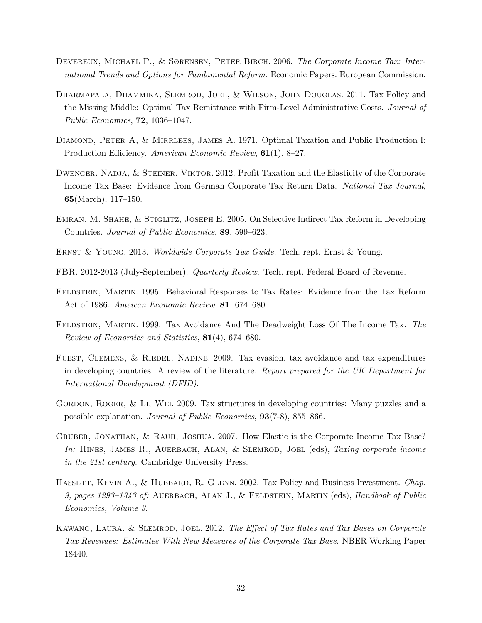- <span id="page-33-5"></span>Devereux, Michael P., & Sørensen, Peter Birch. 2006. *The Corporate Income Tax: International Trends and Options for Fundamental Reform*. Economic Papers. European Commission.
- <span id="page-33-6"></span>Dharmapala, Dhammika, Slemrod, Joel, & Wilson, John Douglas. 2011. Tax Policy and the Missing Middle: Optimal Tax Remittance with Firm-Level Administrative Costs. *Journal of Public Economics*, **72**, 1036–1047.
- <span id="page-33-0"></span>DIAMOND, PETER A, & MIRRLEES, JAMES A. 1971. Optimal Taxation and Public Production I: Production Efficiency. *American Economic Review*, **61**(1), 8–27.
- <span id="page-33-9"></span>DWENGER, NADJA, & STEINER, VIKTOR. 2012. Profit Taxation and the Elasticity of the Corporate Income Tax Base: Evidence from German Corporate Tax Return Data. *National Tax Journal*, **65**(March), 117–150.
- <span id="page-33-1"></span>EMRAN, M. SHAHE, & STIGLITZ, JOSEPH E. 2005. On Selective Indirect Tax Reform in Developing Countries. *Journal of Public Economics*, **89**, 599–623.
- <span id="page-33-3"></span>Ernst & Young. 2013. *Worldwide Corporate Tax Guide.* Tech. rept. Ernst & Young.
- <span id="page-33-13"></span>FBR. 2012-2013 (July-September). *Quarterly Review*. Tech. rept. Federal Board of Revenue.
- <span id="page-33-11"></span>FELDSTEIN, MARTIN. 1995. Behavioral Responses to Tax Rates: Evidence from the Tax Reform Act of 1986. *Ameican Economic Review*, **81**, 674–680.
- <span id="page-33-12"></span>Feldstein, Martin. 1999. Tax Avoidance And The Deadweight Loss Of The Income Tax. *The Review of Economics and Statistics*, **81**(4), 674–680.
- <span id="page-33-7"></span>FUEST, CLEMENS, & RIEDEL, NADINE. 2009. Tax evasion, tax avoidance and tax expenditures in developing countries: A review of the literature. *Report prepared for the UK Department for International Development (DFID)*.
- <span id="page-33-2"></span>GORDON, ROGER, & LI, WEI. 2009. Tax structures in developing countries: Many puzzles and a possible explanation. *Journal of Public Economics*, **93**(7-8), 855–866.
- <span id="page-33-8"></span>Gruber, Jonathan, & Rauh, Joshua. 2007. How Elastic is the Corporate Income Tax Base? In: HINES, JAMES R., AUERBACH, ALAN, & SLEMROD, JOEL (eds), *Taxing corporate income in the 21st century*. Cambridge University Press.
- <span id="page-33-4"></span>HASSETT, KEVIN A., & HUBBARD, R. GLENN. 2002. Tax Policy and Business Investment. *Chap. 9, pages 1293–1343 of:* Auerbach, Alan J., & Feldstein, Martin (eds), *Handbook of Public Economics, Volume 3*.
- <span id="page-33-10"></span>Kawano, Laura, & Slemrod, Joel. 2012. *The Effect of Tax Rates and Tax Bases on Corporate Tax Revenues: Estimates With New Measures of the Corporate Tax Base*. NBER Working Paper 18440.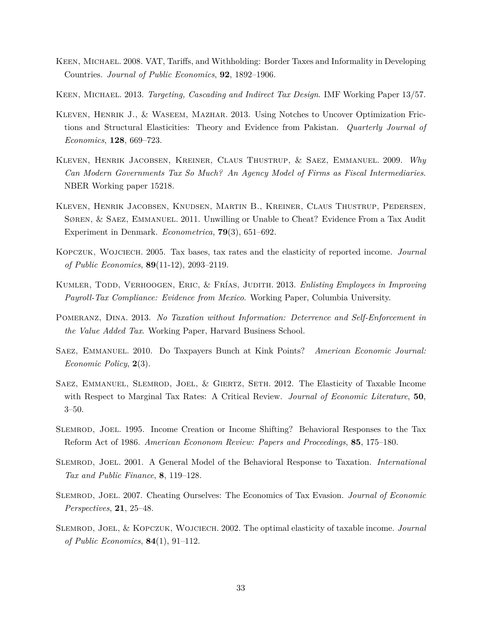- <span id="page-34-4"></span>KEEN, MICHAEL. 2008. VAT, Tariffs, and Withholding: Border Taxes and Informality in Developing Countries. *Journal of Public Economics*, **92**, 1892–1906.
- <span id="page-34-13"></span>Keen, Michael. 2013. *Targeting, Cascading and Indirect Tax Design*. IMF Working Paper 13/57.
- <span id="page-34-1"></span>Kleven, Henrik J., & Waseem, Mazhar. 2013. Using Notches to Uncover Optimization Frictions and Structural Elasticities: Theory and Evidence from Pakistan. *Quarterly Journal of Economics*, **128**, 669–723.
- <span id="page-34-5"></span>Kleven, Henrik Jacobsen, Kreiner, Claus Thustrup, & Saez, Emmanuel. 2009. *Why Can Modern Governments Tax So Much? An Agency Model of Firms as Fiscal Intermediaries*. NBER Working paper 15218.
- <span id="page-34-7"></span>Kleven, Henrik Jacobsen, Knudsen, Martin B., Kreiner, Claus Thustrup, Pedersen, Søren, & Saez, Emmanuel. 2011. Unwilling or Unable to Cheat? Evidence From a Tax Audit Experiment in Denmark. *Econometrica*, **79**(3), 651–692.
- <span id="page-34-10"></span>Kopczuk, Wojciech. 2005. Tax bases, tax rates and the elasticity of reported income. *Journal of Public Economics*, **89**(11-12), 2093–2119.
- <span id="page-34-3"></span>Kumler, Todd, Verhoogen, Eric, & Frías, Judith. 2013. *Enlisting Employees in Improving Payroll-Tax Compliance: Evidence from Mexico*. Working Paper, Columbia University.
- <span id="page-34-2"></span>Pomeranz, Dina. 2013. *No Taxation without Information: Deterrence and Self-Enforcement in the Value Added Tax*. Working Paper, Harvard Business School.
- <span id="page-34-0"></span>Saez, Emmanuel. 2010. Do Taxpayers Bunch at Kink Points? *American Economic Journal: Economic Policy*, **2**(3).
- <span id="page-34-8"></span>Saez, Emmanuel, Slemrod, Joel, & Giertz, Seth. 2012. The Elasticity of Taxable Income with Respect to Marginal Tax Rates: A Critical Review. *Journal of Economic Literature*, **50**, 3–50.
- <span id="page-34-12"></span>Slemrod, Joel. 1995. Income Creation or Income Shifting? Behavioral Responses to the Tax Reform Act of 1986. *American Econonom Review: Papers and Proceedings*, **85**, 175–180.
- <span id="page-34-11"></span>Slemrod, Joel. 2001. A General Model of the Behavioral Response to Taxation. *International Tax and Public Finance*, **8**, 119–128.
- <span id="page-34-6"></span>Slemrod, Joel. 2007. Cheating Ourselves: The Economics of Tax Evasion. *Journal of Economic Perspectives*, **21**, 25–48.
- <span id="page-34-9"></span>Slemrod, Joel, & Kopczuk, Wojciech. 2002. The optimal elasticity of taxable income. *Journal of Public Economics*, **84**(1), 91–112.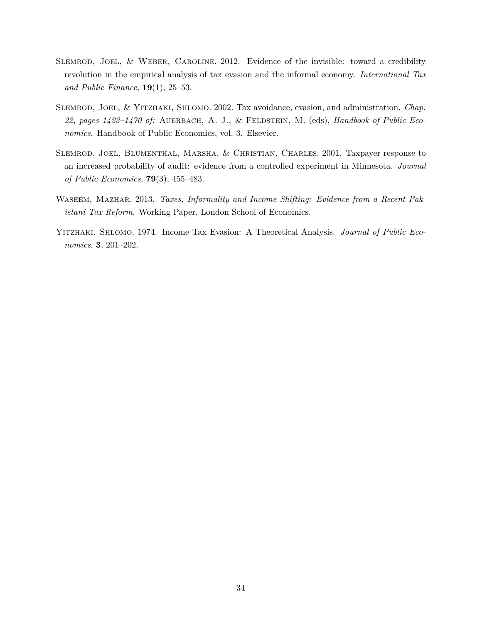- <span id="page-35-1"></span>Slemrod, Joel, & Weber, Caroline. 2012. Evidence of the invisible: toward a credibility revolution in the empirical analysis of tax evasion and the informal economy. *International Tax and Public Finance*, **19**(1), 25–53.
- <span id="page-35-0"></span>Slemrod, Joel, & Yitzhaki, Shlomo. 2002. Tax avoidance, evasion, and administration. *Chap.* 22, pages 1423-1470 of: AUERBACH, A. J., & FELDSTEIN, M. (eds), *Handbook of Public Economics*. Handbook of Public Economics, vol. 3. Elsevier.
- <span id="page-35-2"></span>Slemrod, Joel, Blumenthal, Marsha, & Christian, Charles. 2001. Taxpayer response to an increased probability of audit: evidence from a controlled experiment in Minnesota. *Journal of Public Economics*, **79**(3), 455–483.
- <span id="page-35-4"></span>Waseem, Mazhar. 2013. *Taxes, Informality and Income Shifting: Evidence from a Recent Pakistani Tax Reform*. Working Paper, London School of Economics.
- <span id="page-35-3"></span>Yitzhaki, Shlomo. 1974. Income Tax Evasion: A Theoretical Analysis. *Journal of Public Economics*, **3**, 201–202.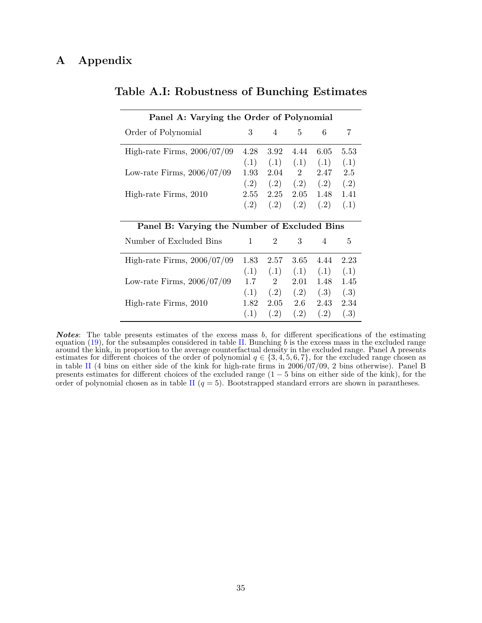| Panel A: Varying the Order of Polynomial     |               |                |      |      |      |  |  |
|----------------------------------------------|---------------|----------------|------|------|------|--|--|
| Order of Polynomial                          | 3             | $\overline{4}$ | 5    | 6    | 7    |  |  |
| High-rate Firms, $2006/07/09$                | 4.28          | 3.92           | 4.44 | 6.05 | 5.53 |  |  |
|                                              | (.1)          | (.1)           | (.1) | (.1) | (.1) |  |  |
| Low-rate Firms, $2006/07/09$                 | 1.93          | 2.04           | 2    | 2.47 | 2.5  |  |  |
|                                              | (.2)          | (.2)           | (.2) | (.2) | (.2) |  |  |
| High-rate Firms, 2010                        | 2.55          | 2.25           | 2.05 | 1.48 | 1.41 |  |  |
|                                              | (.2)          | (.2)           | (.2) | (.2) | (.1) |  |  |
|                                              |               |                |      |      |      |  |  |
| Panel B: Varying the Number of Excluded Bins |               |                |      |      |      |  |  |
| Number of Excluded Bins                      | $\mathbf{1}$  | $\overline{2}$ | 3    | 4    | 5    |  |  |
| High-rate Firms, $2006/07/09$                | 1.83          | 2.57           | 3.65 | 4.44 | 2.23 |  |  |
|                                              | (.1)          | (.1)           | (.1) | (.1) | (.1) |  |  |
| Low-rate Firms, 2006/07/09                   | $1.7^{\circ}$ | $2^{\circ}$    | 2.01 | 1.48 | 1.45 |  |  |
|                                              | (.1)          | (.2)           | (.2) | (.3) | (.3) |  |  |
| High-rate Firms, 2010                        | 1.82          | 2.05           | 2.6  | 2.43 | 2.34 |  |  |
|                                              | (.1)          | (.2)           | (.2) | (.2) | (.3) |  |  |

# <span id="page-36-0"></span>**Table A.I: Robustness of Bunching Estimates**

*Notes*: The table presents estimates of the excess mass *b*, for different specifications of the estimating equation [\(19\)](#page-20-0), for the subsamples considered in table [II.](#page-26-0) Bunching *b* is the excess mass in the excluded range around the kink, in proportion to the average counterfactual density in the excluded range. Panel A presents estimates for different choices of the order of polynomial  $q \in \{3, 4, 5, 6, 7\}$ , for the excluded range chosen as in table [II](#page-26-0) (4 bins on either side of the kink for high-rate firms in 2006/07/09, 2 bins otherwise). Panel B presents estimates for different choices of the excluded range (1 − 5 bins on either side of the kink), for the order of polynomial chosen as in table [II](#page-26-0)  $(q = 5)$ . Bootstrapped standard errors are shown in parantheses.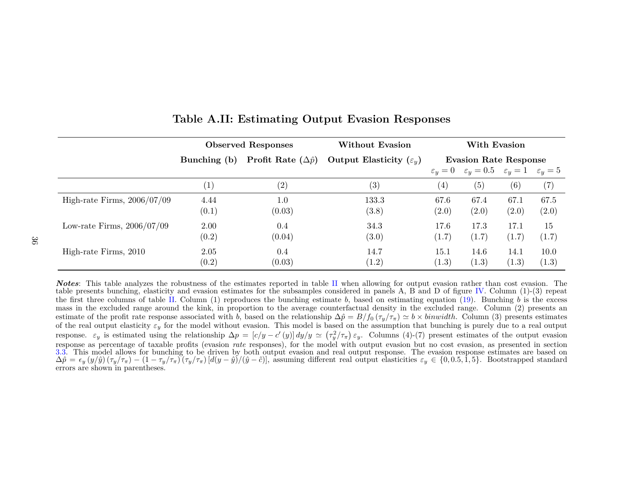|                               | <b>Observed Responses</b> |                                       | <b>Without Evasion</b>              | With Evasion                 |                                                               |               |                   |
|-------------------------------|---------------------------|---------------------------------------|-------------------------------------|------------------------------|---------------------------------------------------------------|---------------|-------------------|
|                               | Bunching (b)              | <b>Profit Rate</b> $(\Delta \hat{p})$ | Output Elasticity $(\varepsilon_u)$ | <b>Evasion Rate Response</b> |                                                               |               |                   |
|                               |                           |                                       |                                     |                              | $\varepsilon_y = 0$ $\varepsilon_y = 0.5$ $\varepsilon_y = 1$ |               | $\varepsilon_y=5$ |
|                               | $\left( 1\right)$         | $\left( 2\right)$                     | (3)                                 | $\left( 4\right)$            | (5)                                                           | (6)           | (7)               |
| High-rate Firms, $2006/07/09$ | 4.44<br>(0.1)             | 1.0<br>(0.03)                         | 133.3<br>(3.8)                      | 67.6<br>(2.0)                | 67.4<br>(2.0)                                                 | 67.1<br>(2.0) | 67.5<br>(2.0)     |
| Low-rate Firms, $2006/07/09$  | 2.00<br>(0.2)             | 0.4<br>(0.04)                         | 34.3<br>(3.0)                       | 17.6<br>(1.7)                | 17.3<br>(1.7)                                                 | 17.1<br>(1.7) | 15<br>(1.7)       |
| High-rate Firms, 2010         | 2.05<br>(0.2)             | 0.4<br>(0.03)                         | 14.7<br>(1.2)                       | 15.1<br>(1.3)                | 14.6<br>(1.3)                                                 | 14.1<br>(1.3) | 10.0<br>(1.3)     |

### **Table A.II: Estimating Output Evasion Responses**

<span id="page-37-0"></span>**Notes**: This table analyzes the robustness of the estimates reported in table [II](#page-26-1) when allowing for output evasion rather than cost evasion. The table presents bunching, elasticity and evasion estimates for the subsamples considered in panels A, B and D of figure [IV.](#page-30-1) Column (1)-(3) repeat the first three columns of table [II.](#page-26-1) Column (1) reproduces the bunching estimate  $b$ , based on estimating equation [\(19\)](#page-20-3). Bunching  $b$  is the excess mass in the excluded range around the kink, in proportion to the average counterfactual density in the excluded range. Column (2) presents anestimate of the profit rate response associated with *b*, based on the relationship  $\Delta \hat{p} = B/f_0(\tau_y/\tau_x) \simeq b \times binwidth$ . Column (3) presents estimates of the real output electricity  $\epsilon$ , for the model without evocion. This mo of the real output elasticity  $\varepsilon_y$  for the model without evasion. This model is based on the assumption that bunching is purely due to a real output response.  $\varepsilon_y$  is estimated using the relationship  $\Delta p = [c/y - c'(y)] dy/y \simeq (\tau_y^2/\tau_\pi) \varepsilon_y$ . Columns (4)-(7) present estimates of the output evasion response as percentage of taxable profits (evasion *rate* responses), for the model with output evasion but no cost evasion, as presented in section [3.3.](#page-13-2) This model allows for bunching to be driven by both output evasion and real output response. The evasion response estimates are based on  $\Delta \hat{p} = \epsilon_y(y/\hat{y}) (\tau_y/\tau_{\pi}) - (1 - \tau_y/\tau_{\pi}) (\tau_y/\tau_{\pi}) [d(y - \hat{y})/(\hat{y} - \hat{c})]$ , assum errors are shown in parentheses.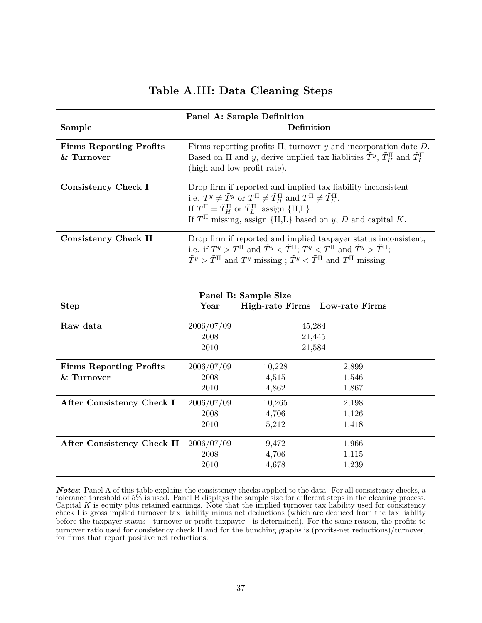# **Table A.III: Data Cleaning Steps**

<span id="page-38-0"></span>

| Sample                                       | Panel A: Sample Definition<br>Definition                                                                                                                                                                                                                                                                              |                            |                |  |  |
|----------------------------------------------|-----------------------------------------------------------------------------------------------------------------------------------------------------------------------------------------------------------------------------------------------------------------------------------------------------------------------|----------------------------|----------------|--|--|
| <b>Firms Reporting Profits</b><br>& Turnover | Firms reporting profits $\Pi$ , turnover $y$ and incorporation date $D$ .<br>Based on $\Pi$ and y, derive implied tax liablities $\tilde{T}^y$ , $\tilde{T}_H^{\Pi}$ and $\tilde{T}_L^{\Pi}$<br>(high and low profit rate).                                                                                           |                            |                |  |  |
| <b>Consistency Check I</b>                   | Drop firm if reported and implied tax liability inconsistent<br>i.e. $T^y \neq \tilde{T}^y$ or $T^{\Pi} \neq \tilde{T}_H^{\Pi}$ and $T^{\Pi} \neq \tilde{T}_L^{\Pi}$ .<br>If $T^{\Pi} = \tilde{T}_{H}^{\Pi}$ or $\tilde{T}_{L}^{\Pi}$ , assign {H,L}.<br>If $T\Pi$ missing, assign {H,L} based on y, D and capital K. |                            |                |  |  |
| <b>Consistency Check II</b>                  | Drop firm if reported and implied taxpayer status inconsistent,<br>i.e. if $T^y > T^{\Pi}$ and $\tilde{T}^y < \tilde{T}^{\Pi}$ ; $T^y < T^{\Pi}$ and $\tilde{T}^y > \tilde{T}^{\Pi}$ ;<br>$\tilde{T}^y > \tilde{T}^{\Pi}$ and $T^y$ missing; $\tilde{T}^y < \tilde{T}^{\Pi}$ and $T^{\Pi}$ missing.                   |                            |                |  |  |
|                                              |                                                                                                                                                                                                                                                                                                                       |                            |                |  |  |
|                                              |                                                                                                                                                                                                                                                                                                                       | Panel B: Sample Size       |                |  |  |
| <b>Step</b>                                  | Year                                                                                                                                                                                                                                                                                                                  | <b>High-rate Firms</b>     | Low-rate Firms |  |  |
| Raw data                                     | 2006/07/09<br>2008<br>2010                                                                                                                                                                                                                                                                                            | 45,284<br>21,445<br>21,584 |                |  |  |
| <b>Firms Reporting Profits</b>               | 2006/07/09                                                                                                                                                                                                                                                                                                            | 10,228                     | 2,899          |  |  |
| & Turnover                                   | 2008                                                                                                                                                                                                                                                                                                                  | 4,515                      | 1,546          |  |  |
|                                              | 2010                                                                                                                                                                                                                                                                                                                  | 4,862                      | 1,867          |  |  |
| After Consistency Check I                    | 2006/07/09                                                                                                                                                                                                                                                                                                            | 10,265                     | 2,198          |  |  |
|                                              | 2008                                                                                                                                                                                                                                                                                                                  | 4,706                      | 1,126          |  |  |
|                                              | 2010                                                                                                                                                                                                                                                                                                                  | 5,212                      | 1,418          |  |  |
| After Consistency Check II                   | 2006/07/09                                                                                                                                                                                                                                                                                                            | 9,472                      | 1,966          |  |  |

*Notes*: Panel A of this table explains the consistency checks applied to the data. For all consistency checks, a tolerance threshold of 5% is used. Panel B displays the sample size for different steps in the cleaning process. Capital *K* is equity plus retained earnings. Note that the implied turnover tax liability used for consistency check I is gross implied turnover tax liability minus net deductions (which are deduced from the tax liablity before the taxpayer status - turnover or profit taxpayer - is determined). For the same reason, the profits to turnover ratio used for consistency check II and for the bunching graphs is (profits-net reductions)/turnover, for firms that report positive net reductions.

2008 4,706 1,115 2010 4,678 1,239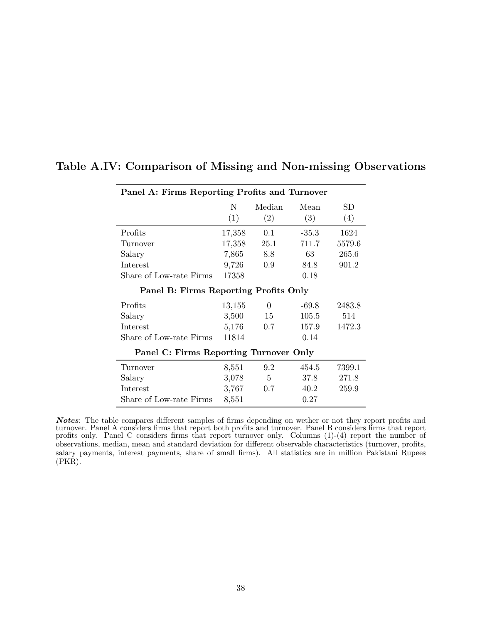| Panel A: Firms Reporting Profits and Turnover |        |                 |         |        |  |  |
|-----------------------------------------------|--------|-----------------|---------|--------|--|--|
|                                               | N      | Median          | Mean    | SD     |  |  |
|                                               | (1)    | (2)             | (3)     | (4)    |  |  |
| Profits                                       | 17,358 | 0.1             | $-35.3$ | 1624   |  |  |
| Turnover                                      | 17,358 | 25.1            | 711.7   | 5579.6 |  |  |
| Salary                                        | 7,865  | 8.8             | 63      | 265.6  |  |  |
| Interest                                      | 9,726  | 0.9             | 84.8    | 901.2  |  |  |
| Share of Low-rate Firms                       | 17358  |                 | 0.18    |        |  |  |
| Panel B: Firms Reporting Profits Only         |        |                 |         |        |  |  |
| Profits                                       | 13,155 | $\Omega$        | $-69.8$ | 2483.8 |  |  |
| Salary                                        | 3,500  | 15              | 105.5   | 514    |  |  |
| Interest                                      | 5,176  | 0.7             | 157.9   | 1472.3 |  |  |
| Share of Low-rate Firms                       | 11814  |                 | 0.14    |        |  |  |
| Panel C: Firms Reporting Turnover Only        |        |                 |         |        |  |  |
| Turnover                                      | 8,551  | 9.2             | 454.5   | 7399.1 |  |  |
| Salary                                        | 3,078  | $5\overline{)}$ | 37.8    | 271.8  |  |  |
| Interest                                      | 3,767  | 0.7             | 40.2    | 259.9  |  |  |
| Share of Low-rate Firms                       | 8,551  |                 | 0.27    |        |  |  |

# <span id="page-39-0"></span>**Table A.IV: Comparison of Missing and Non-missing Observations**

*Notes*: The table compares different samples of firms depending on wether or not they report profits and turnover. Panel A considers firms that report both profits and turnover. Panel B considers firms that report profits only. Panel C considers firms that report turnover only. Columns (1)-(4) report the number of observations, median, mean and standard deviation for different observable characteristics (turnover, profits, salary payments, interest payments, share of small firms). All statistics are in million Pakistani Rupees (PKR).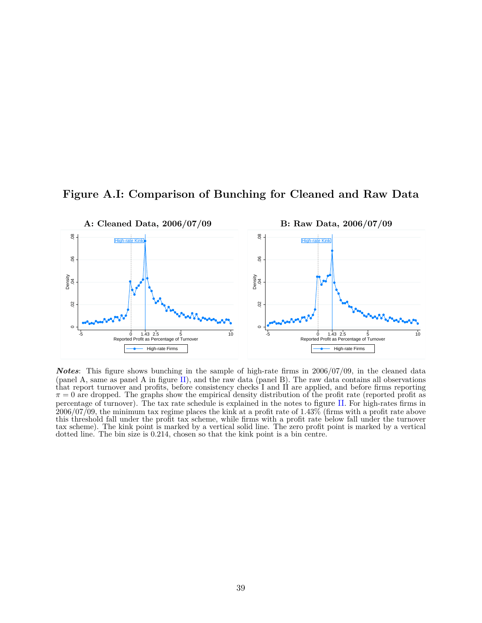<span id="page-40-0"></span>



*Notes*: This figure shows bunching in the sample of high-rate firms in 2006/07/09, in the cleaned data (panel A, same as panel A in figure [II\)](#page-28-0), and the raw data (panel B). The raw data contains all observations that report turnover and profits, before consistency checks I and II are applied, and before firms reporting  $\pi = 0$  are dropped. The graphs show the empirical density distribution of the profit rate (reported profit as percentage of turnover). The tax rate schedule is explained in the notes to figure [II](#page-28-0). For high-rates firms in  $2006/07/09$ , the minimum tax regime places the kink at a profit rate of 1.43% (firms with a profit rate above this threshold fall under the profit tax scheme, while firms with a profit rate below fall under the turnover tax scheme). The kink point is marked by a vertical solid line. The zero profit point is marked by a vertical dotted line. The bin size is 0.214, chosen so that the kink point is a bin centre.